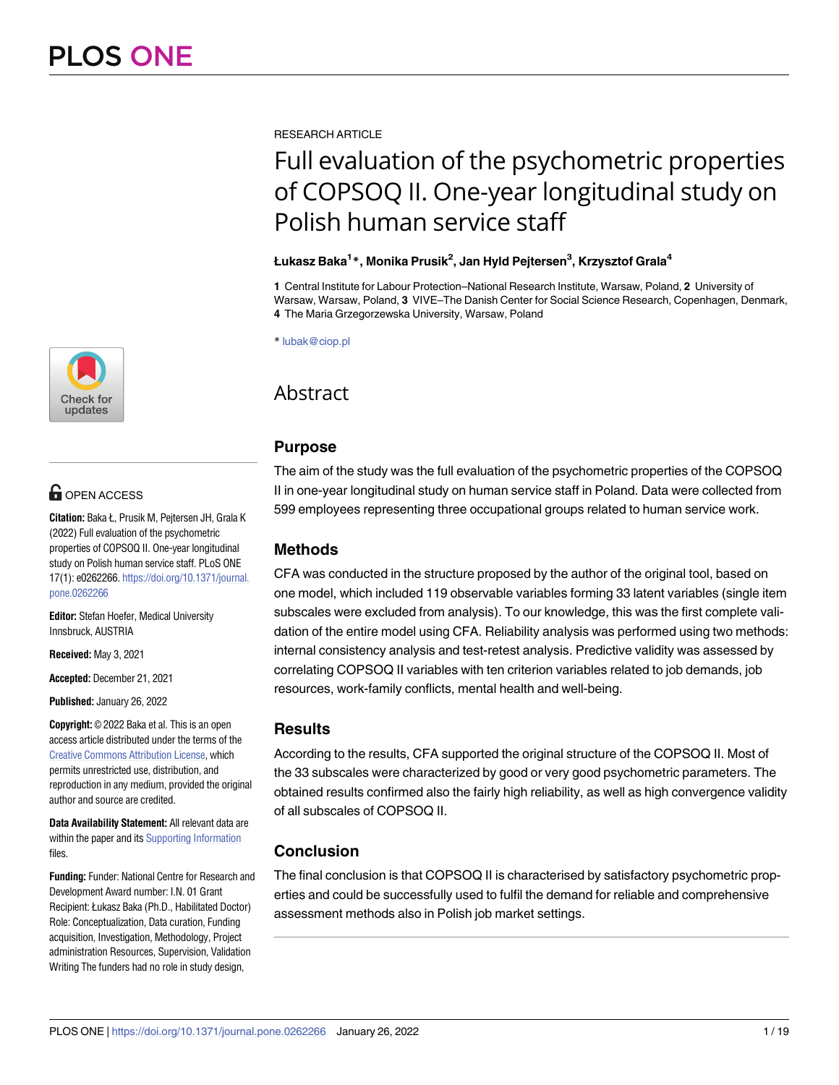

# $\blacksquare$  OPEN ACCESS

**Citation:** Baka Ł, Prusik M, Pejtersen JH, Grala K (2022) Full evaluation of the psychometric properties of COPSOQ II. One-year longitudinal study on Polish human service staff. PLoS ONE 17(1): e0262266. [https://doi.org/10.1371/journal.](https://doi.org/10.1371/journal.pone.0262266) [pone.0262266](https://doi.org/10.1371/journal.pone.0262266)

**Editor:** Stefan Hoefer, Medical University Innsbruck, AUSTRIA

**Received:** May 3, 2021

**Accepted:** December 21, 2021

**Published:** January 26, 2022

**Copyright:** © 2022 Baka et al. This is an open access article distributed under the terms of the Creative Commons [Attribution](http://creativecommons.org/licenses/by/4.0/) License, which permits unrestricted use, distribution, and reproduction in any medium, provided the original author and source are credited.

**Data Availability Statement:** All relevant data are within the paper and its Supporting [Information](#page-16-0) files.

**Funding:** Funder: National Centre for Research and Development Award number: I.N. 01 Grant Recipient: Łukasz Baka (Ph.D., Habilitated Doctor) Role: Conceptualization, Data curation, Funding acquisition, Investigation, Methodology, Project administration Resources, Supervision, Validation Writing The funders had no role in study design,

RESEARCH ARTICLE

# Full evaluation of the psychometric properties of COPSOQ II. One-year longitudinal study on Polish human service staff

# **Łukasz Baka1 \*, Monika Prusik2 , Jan Hyld Pejtersen3 , Krzysztof Grala4**

**1** Central Institute for Labour Protection–National Research Institute, Warsaw, Poland, **2** University of Warsaw, Warsaw, Poland, **3** VIVE–The Danish Center for Social Science Research, Copenhagen, Denmark, **4** The Maria Grzegorzewska University, Warsaw, Poland

\* lubak@ciop.pl

# Abstract

# **Purpose**

The aim of the study was the full evaluation of the psychometric properties of the COPSOQ II in one-year longitudinal study on human service staff in Poland. Data were collected from 599 employees representing three occupational groups related to human service work.

# **Methods**

CFA was conducted in the structure proposed by the author of the original tool, based on one model, which included 119 observable variables forming 33 latent variables (single item subscales were excluded from analysis). To our knowledge, this was the first complete validation of the entire model using CFA. Reliability analysis was performed using two methods: internal consistency analysis and test-retest analysis. Predictive validity was assessed by correlating COPSOQ II variables with ten criterion variables related to job demands, job resources, work-family conflicts, mental health and well-being.

# **Results**

According to the results, CFA supported the original structure of the COPSOQ II. Most of the 33 subscales were characterized by good or very good psychometric parameters. The obtained results confirmed also the fairly high reliability, as well as high convergence validity of all subscales of COPSOQ II.

# **Conclusion**

The final conclusion is that COPSOQ II is characterised by satisfactory psychometric properties and could be successfully used to fulfil the demand for reliable and comprehensive assessment methods also in Polish job market settings.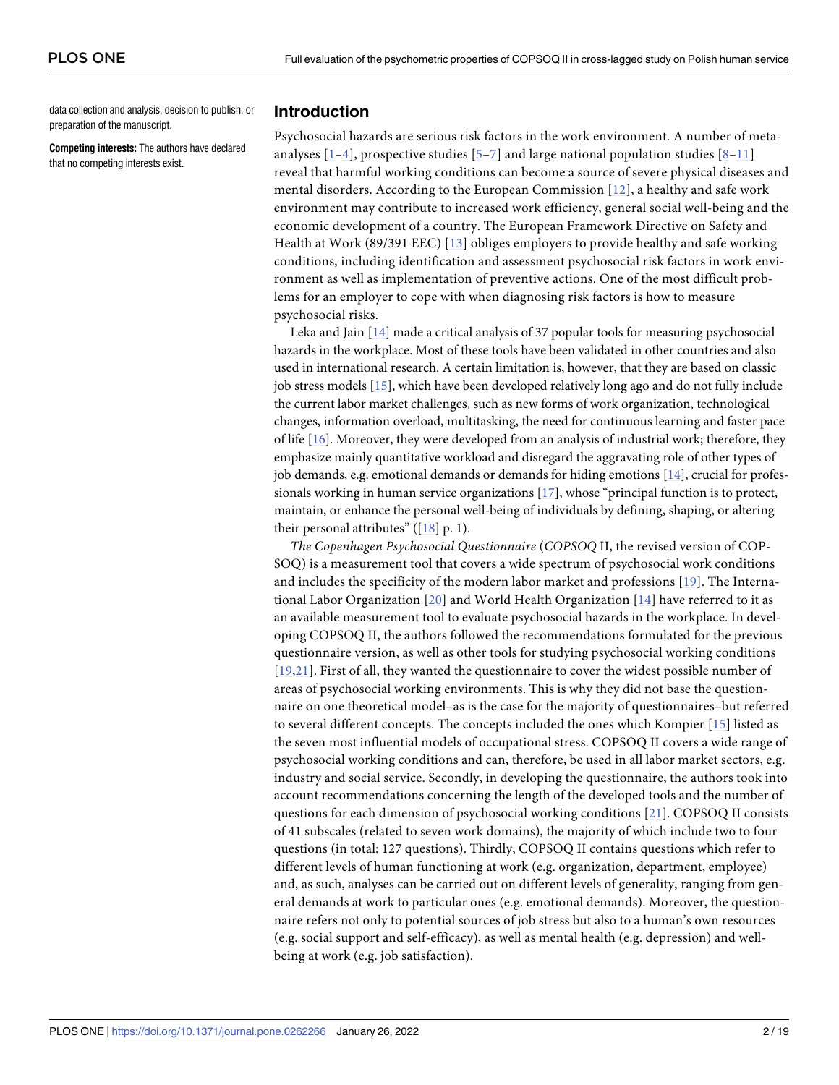<span id="page-1-0"></span>data collection and analysis, decision to publish, or preparation of the manuscript.

**Competing interests:** The authors have declared that no competing interests exist.

# **Introduction**

Psychosocial hazards are serious risk factors in the work environment. A number of metaanalyses  $[1-4]$ , prospective studies  $[5-7]$  $[5-7]$  $[5-7]$  and large national population studies  $[8-11]$  $[8-11]$  $[8-11]$  $[8-11]$ reveal that harmful working conditions can become a source of severe physical diseases and mental disorders. According to the European Commission [\[12](#page-17-0)], a healthy and safe work environment may contribute to increased work efficiency, general social well-being and the economic development of a country. The European Framework Directive on Safety and Health at Work (89/391 EEC) [[13\]](#page-17-0) obliges employers to provide healthy and safe working conditions, including identification and assessment psychosocial risk factors in work environment as well as implementation of preventive actions. One of the most difficult problems for an employer to cope with when diagnosing risk factors is how to measure psychosocial risks.

Leka and Jain [[14](#page-17-0)] made a critical analysis of 37 popular tools for measuring psychosocial hazards in the workplace. Most of these tools have been validated in other countries and also used in international research. A certain limitation is, however, that they are based on classic job stress models [\[15\]](#page-17-0), which have been developed relatively long ago and do not fully include the current labor market challenges, such as new forms of work organization, technological changes, information overload, multitasking, the need for continuous learning and faster pace of life [\[16](#page-17-0)]. Moreover, they were developed from an analysis of industrial work; therefore, they emphasize mainly quantitative workload and disregard the aggravating role of other types of job demands, e.g. emotional demands or demands for hiding emotions [\[14\]](#page-17-0), crucial for professionals working in human service organizations [\[17\]](#page-17-0), whose "principal function is to protect, maintain, or enhance the personal well-being of individuals by defining, shaping, or altering their personal attributes"  $([18] p. 1)$  $([18] p. 1)$  $([18] p. 1)$ .

*The Copenhagen Psychosocial Questionnaire* (*COPSOQ* II, the revised version of COP-SOQ) is a measurement tool that covers a wide spectrum of psychosocial work conditions and includes the specificity of the modern labor market and professions [[19\]](#page-17-0). The International Labor Organization [[20\]](#page-17-0) and World Health Organization [[14](#page-17-0)] have referred to it as an available measurement tool to evaluate psychosocial hazards in the workplace. In developing COPSOQ II, the authors followed the recommendations formulated for the previous questionnaire version, as well as other tools for studying psychosocial working conditions [[19](#page-17-0),[21\]](#page-17-0). First of all, they wanted the questionnaire to cover the widest possible number of areas of psychosocial working environments. This is why they did not base the questionnaire on one theoretical model–as is the case for the majority of questionnaires–but referred to several different concepts. The concepts included the ones which Kompier [\[15](#page-17-0)] listed as the seven most influential models of occupational stress. COPSOQ II covers a wide range of psychosocial working conditions and can, therefore, be used in all labor market sectors, e.g. industry and social service. Secondly, in developing the questionnaire, the authors took into account recommendations concerning the length of the developed tools and the number of questions for each dimension of psychosocial working conditions [[21](#page-17-0)]. COPSOQ II consists of 41 subscales (related to seven work domains), the majority of which include two to four questions (in total: 127 questions). Thirdly, COPSOQ II contains questions which refer to different levels of human functioning at work (e.g. organization, department, employee) and, as such, analyses can be carried out on different levels of generality, ranging from general demands at work to particular ones (e.g. emotional demands). Moreover, the questionnaire refers not only to potential sources of job stress but also to a human's own resources (e.g. social support and self-efficacy), as well as mental health (e.g. depression) and wellbeing at work (e.g. job satisfaction).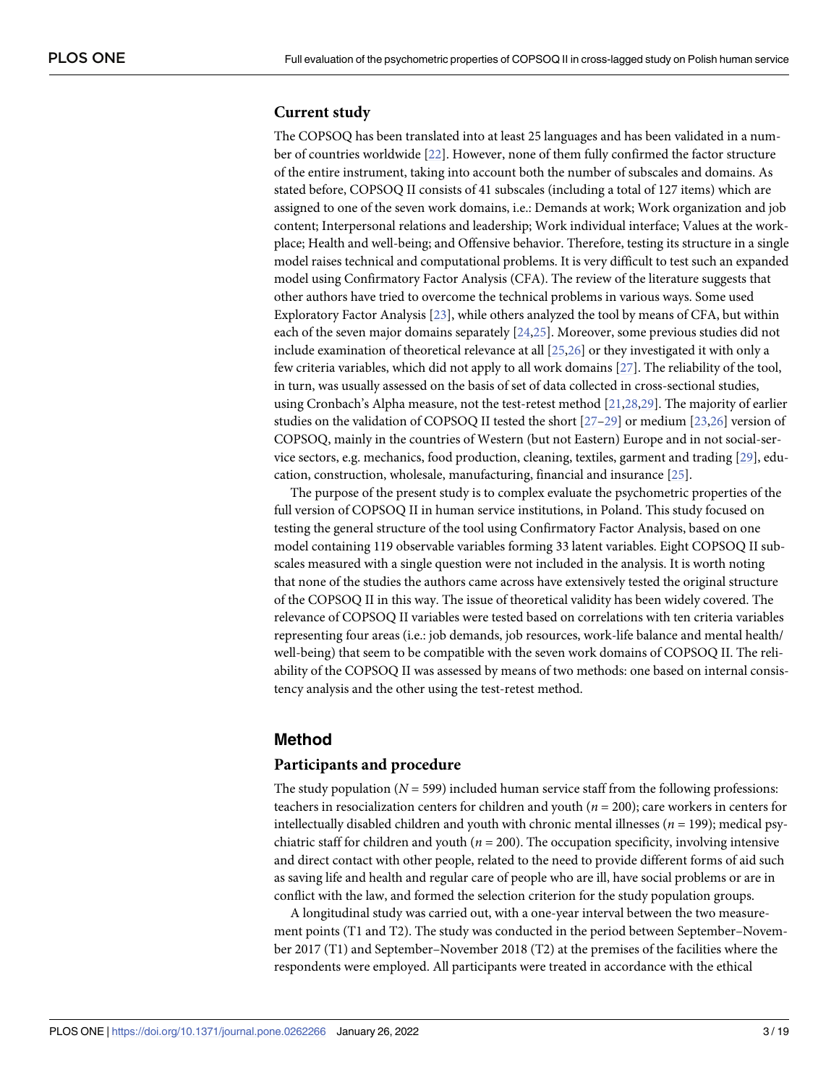# <span id="page-2-0"></span>**Current study**

The COPSOQ has been translated into at least 25 languages and has been validated in a number of countries worldwide [[22](#page-17-0)]. However, none of them fully confirmed the factor structure of the entire instrument, taking into account both the number of subscales and domains. As stated before, COPSOQ II consists of 41 subscales (including a total of 127 items) which are assigned to one of the seven work domains, i.e.: Demands at work; Work organization and job content; Interpersonal relations and leadership; Work individual interface; Values at the workplace; Health and well-being; and Offensive behavior. Therefore, testing its structure in a single model raises technical and computational problems. It is very difficult to test such an expanded model using Confirmatory Factor Analysis (CFA). The review of the literature suggests that other authors have tried to overcome the technical problems in various ways. Some used Exploratory Factor Analysis [[23](#page-17-0)], while others analyzed the tool by means of CFA, but within each of the seven major domains separately [[24,25\]](#page-17-0). Moreover, some previous studies did not include examination of theoretical relevance at all [[25](#page-17-0),[26](#page-17-0)] or they investigated it with only a few criteria variables, which did not apply to all work domains [[27](#page-17-0)]. The reliability of the tool, in turn, was usually assessed on the basis of set of data collected in cross-sectional studies, using Cronbach's Alpha measure, not the test-retest method [\[21,28,](#page-17-0)[29](#page-18-0)]. The majority of earlier studies on the validation of COPSOQ II tested the short  $[27-29]$  $[27-29]$  $[27-29]$  or medium  $[23,26]$  $[23,26]$  $[23,26]$  $[23,26]$  $[23,26]$  version of COPSOQ, mainly in the countries of Western (but not Eastern) Europe and in not social-service sectors, e.g. mechanics, food production, cleaning, textiles, garment and trading [\[29\]](#page-18-0), education, construction, wholesale, manufacturing, financial and insurance [\[25\]](#page-17-0).

The purpose of the present study is to complex evaluate the psychometric properties of the full version of COPSOQ II in human service institutions, in Poland. This study focused on testing the general structure of the tool using Confirmatory Factor Analysis, based on one model containing 119 observable variables forming 33 latent variables. Eight COPSOQ II subscales measured with a single question were not included in the analysis. It is worth noting that none of the studies the authors came across have extensively tested the original structure of the COPSOQ II in this way. The issue of theoretical validity has been widely covered. The relevance of COPSOQ II variables were tested based on correlations with ten criteria variables representing four areas (i.e.: job demands, job resources, work-life balance and mental health/ well-being) that seem to be compatible with the seven work domains of COPSOQ II. The reliability of the COPSOQ II was assessed by means of two methods: one based on internal consistency analysis and the other using the test-retest method.

# **Method**

### **Participants and procedure**

The study population  $(N = 599)$  included human service staff from the following professions: teachers in resocialization centers for children and youth (*n* = 200); care workers in centers for intellectually disabled children and youth with chronic mental illnesses ( $n = 199$ ); medical psychiatric staff for children and youth  $(n = 200)$ . The occupation specificity, involving intensive and direct contact with other people, related to the need to provide different forms of aid such as saving life and health and regular care of people who are ill, have social problems or are in conflict with the law, and formed the selection criterion for the study population groups.

A longitudinal study was carried out, with a one-year interval between the two measurement points (T1 and T2). The study was conducted in the period between September–November 2017 (T1) and September–November 2018 (T2) at the premises of the facilities where the respondents were employed. All participants were treated in accordance with the ethical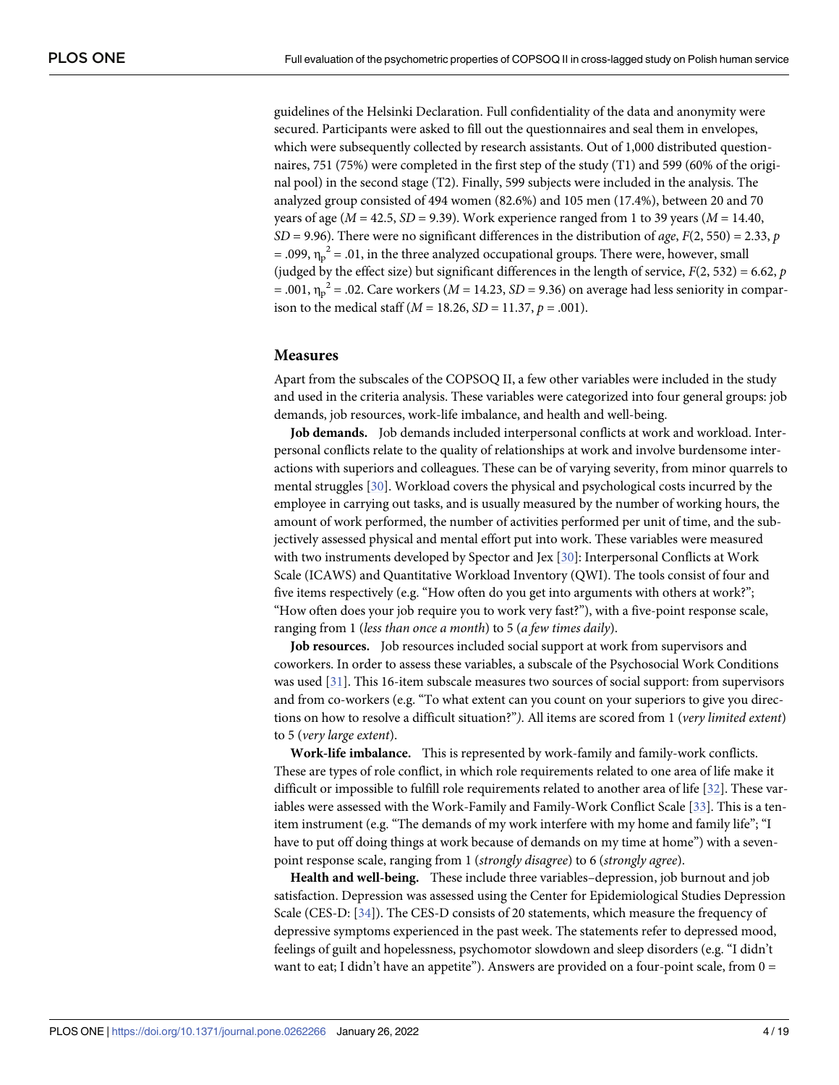<span id="page-3-0"></span>guidelines of the Helsinki Declaration. Full confidentiality of the data and anonymity were secured. Participants were asked to fill out the questionnaires and seal them in envelopes, which were subsequently collected by research assistants. Out of 1,000 distributed questionnaires, 751 (75%) were completed in the first step of the study (T1) and 599 (60% of the original pool) in the second stage (T2). Finally, 599 subjects were included in the analysis. The analyzed group consisted of 494 women (82.6%) and 105 men (17.4%), between 20 and 70 years of age (*M* = 42.5, *SD* = 9.39). Work experience ranged from 1 to 39 years (*M* = 14.40,  $SD = 9.96$ ). There were no significant differences in the distribution of *age*,  $F(2, 550) = 2.33$ , *p* = .099,  $\eta_p^2$  = .01, in the three analyzed occupational groups. There were, however, small (judged by the effect size) but significant differences in the length of service,  $F(2, 532) = 6.62$ ,  $p$  $= .001$ ,  $\eta_p^2 = .02$ . Care workers (*M* = 14.23, *SD* = 9.36) on average had less seniority in comparison to the medical staff (*M* = 18.26, *SD* = 11.37, *p* = .001).

## **Measures**

Apart from the subscales of the COPSOQ II, a few other variables were included in the study and used in the criteria analysis. These variables were categorized into four general groups: job demands, job resources, work-life imbalance, and health and well-being.

**Job demands.** Job demands included interpersonal conflicts at work and workload. Interpersonal conflicts relate to the quality of relationships at work and involve burdensome interactions with superiors and colleagues. These can be of varying severity, from minor quarrels to mental struggles [[30](#page-18-0)]. Workload covers the physical and psychological costs incurred by the employee in carrying out tasks, and is usually measured by the number of working hours, the amount of work performed, the number of activities performed per unit of time, and the subjectively assessed physical and mental effort put into work. These variables were measured with two instruments developed by Spector and Jex [\[30\]](#page-18-0): Interpersonal Conflicts at Work Scale (ICAWS) and Quantitative Workload Inventory (QWI). The tools consist of four and five items respectively (e.g. "How often do you get into arguments with others at work?"; "How often does your job require you to work very fast?"), with a five-point response scale, ranging from 1 (*less than once a month*) to 5 (*a few times daily*).

**Job resources.** Job resources included social support at work from supervisors and coworkers. In order to assess these variables, a subscale of the Psychosocial Work Conditions was used [\[31\]](#page-18-0). This 16-item subscale measures two sources of social support: from supervisors and from co-workers (e.g. "To what extent can you count on your superiors to give you directions on how to resolve a difficult situation?"*)*. All items are scored from 1 (*very limited extent*) to 5 (*very large extent*).

**Work-life imbalance.** This is represented by work-family and family-work conflicts. These are types of role conflict, in which role requirements related to one area of life make it difficult or impossible to fulfill role requirements related to another area of life [\[32\]](#page-18-0). These variables were assessed with the Work-Family and Family-Work Conflict Scale [\[33](#page-18-0)]. This is a tenitem instrument (e.g. "The demands of my work interfere with my home and family life"; "I have to put off doing things at work because of demands on my time at home") with a sevenpoint response scale, ranging from 1 (*strongly disagree*) to 6 (*strongly agree*).

**Health and well-being.** These include three variables–depression, job burnout and job satisfaction. Depression was assessed using the Center for Epidemiological Studies Depression Scale (CES-D: [\[34\]](#page-18-0)). The CES-D consists of 20 statements, which measure the frequency of depressive symptoms experienced in the past week. The statements refer to depressed mood, feelings of guilt and hopelessness, psychomotor slowdown and sleep disorders (e.g. "I didn't want to eat; I didn't have an appetite"). Answers are provided on a four-point scale, from  $0 =$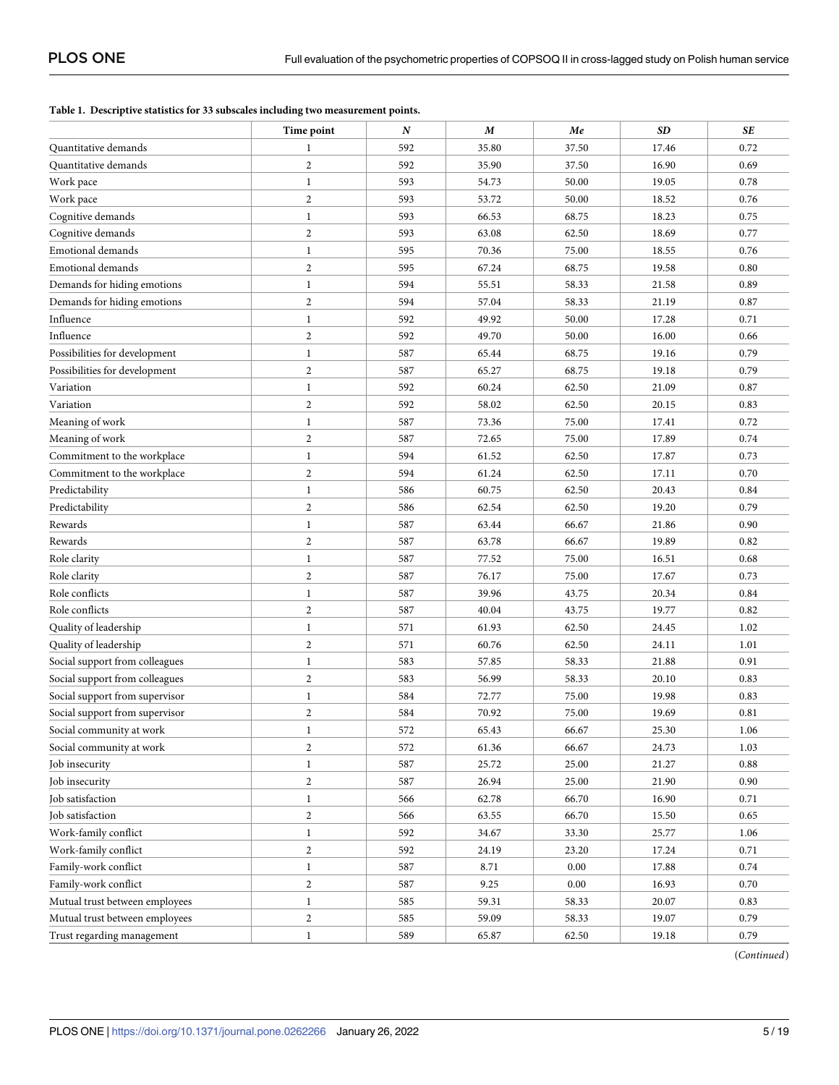### <span id="page-4-0"></span>**[Table](#page-6-0) 1. Descriptive statistics for 33 subscales including two measurement points.**

|                                | Time point       | $\boldsymbol{N}$ | $\boldsymbol{M}$ | Me       | <b>SD</b> | <b>SE</b> |
|--------------------------------|------------------|------------------|------------------|----------|-----------|-----------|
| Quantitative demands           | 1                | 592              | 35.80            | 37.50    | 17.46     | 0.72      |
| Quantitative demands           | $\sqrt{2}$       | 592              | 35.90            | 37.50    | 16.90     | 0.69      |
| Work pace                      | $\mathbf{1}$     | 593              | 54.73            | 50.00    | 19.05     | 0.78      |
| Work pace                      | $\overline{2}$   | 593              | 53.72            | 50.00    | 18.52     | 0.76      |
| Cognitive demands              | $\mathbf{1}$     | 593              | 66.53            | 68.75    | 18.23     | 0.75      |
| Cognitive demands              | $\boldsymbol{2}$ | 593              | 63.08            | 62.50    | 18.69     | 0.77      |
| <b>Emotional demands</b>       | $\mathbf{1}$     | 595              | 70.36            | 75.00    | 18.55     | 0.76      |
| <b>Emotional demands</b>       | $\boldsymbol{2}$ | 595              | 67.24            | 68.75    | 19.58     | 0.80      |
| Demands for hiding emotions    | $\mathbf{1}$     | 594              | 55.51            | 58.33    | 21.58     | 0.89      |
| Demands for hiding emotions    | $\overline{2}$   | 594              | 57.04            | 58.33    | 21.19     | 0.87      |
| Influence                      | $\,1$            | 592              | 49.92            | 50.00    | 17.28     | 0.71      |
| Influence                      | $\boldsymbol{2}$ | 592              | 49.70            | 50.00    | 16.00     | 0.66      |
| Possibilities for development  | $\mathbf{1}$     | 587              | 65.44            | 68.75    | 19.16     | 0.79      |
| Possibilities for development  | $\boldsymbol{2}$ | 587              | 65.27            | 68.75    | 19.18     | 0.79      |
| Variation                      | $\mathbf{1}$     | 592              | 60.24            | 62.50    | 21.09     | 0.87      |
| Variation                      | $\boldsymbol{2}$ | 592              | 58.02            | 62.50    | 20.15     | 0.83      |
| Meaning of work                | $\mathbf{1}$     | 587              | 73.36            | 75.00    | 17.41     | 0.72      |
| Meaning of work                | $\overline{2}$   | 587              | 72.65            | 75.00    | 17.89     | 0.74      |
| Commitment to the workplace    | $\mathbf{1}$     | 594              | 61.52            | 62.50    | 17.87     | 0.73      |
| Commitment to the workplace    | $\sqrt{2}$       | 594              | 61.24            | 62.50    | 17.11     | 0.70      |
| Predictability                 | $\mathbf{1}$     | 586              | 60.75            | 62.50    | 20.43     | 0.84      |
| Predictability                 | $\overline{2}$   | 586              | 62.54            | 62.50    | 19.20     | 0.79      |
| Rewards                        | $\,1$            | 587              | 63.44            | 66.67    | 21.86     | 0.90      |
| Rewards                        | $\boldsymbol{2}$ | 587              | 63.78            | 66.67    | 19.89     | 0.82      |
| Role clarity                   | $\mathbf{1}$     | 587              | 77.52            | 75.00    | 16.51     | 0.68      |
| Role clarity                   | $\boldsymbol{2}$ | 587              | 76.17            | 75.00    | 17.67     | 0.73      |
| Role conflicts                 | $\mathbf{1}$     | 587              | 39.96            | 43.75    | 20.34     | 0.84      |
| Role conflicts                 | $\overline{2}$   | 587              | 40.04            | 43.75    | 19.77     | 0.82      |
| Quality of leadership          | $\mathbf{1}$     | 571              | 61.93            | 62.50    | 24.45     | 1.02      |
| Quality of leadership          | $\boldsymbol{2}$ | 571              | 60.76            | 62.50    | 24.11     | 1.01      |
| Social support from colleagues | $\mathbf{1}$     | 583              | 57.85            | 58.33    | 21.88     | 0.91      |
| Social support from colleagues | $\boldsymbol{2}$ | 583              | 56.99            | 58.33    | 20.10     | 0.83      |
| Social support from supervisor | $\mathbf{1}$     | 584              | 72.77            | 75.00    | 19.98     | 0.83      |
| Social support from supervisor | $\boldsymbol{2}$ | 584              | 70.92            | 75.00    | 19.69     | 0.81      |
| Social community at work       | $\mathbf{1}$     | 572              | 65.43            | 66.67    | 25.30     | 1.06      |
| Social community at work       | $\boldsymbol{2}$ | 572              | 61.36            | 66.67    | 24.73     | 1.03      |
| Job insecurity                 | $\mathbf{1}$     | 587              | 25.72            | 25.00    | 21.27     | 0.88      |
| Job insecurity                 | $\boldsymbol{2}$ | 587              | 26.94            | 25.00    | 21.90     | 0.90      |
| Job satisfaction               | $\mathbf{1}$     | 566              | 62.78            | 66.70    | 16.90     | 0.71      |
| Job satisfaction               | $\boldsymbol{2}$ | 566              | 63.55            | 66.70    | 15.50     | 0.65      |
| Work-family conflict           | $\mathbf{1}$     | 592              | 34.67            | 33.30    | 25.77     | 1.06      |
| Work-family conflict           | $\boldsymbol{2}$ | 592              | 24.19            | 23.20    | 17.24     | 0.71      |
| Family-work conflict           | $\mathbf{1}$     | 587              | 8.71             | 0.00     | 17.88     | 0.74      |
| Family-work conflict           | $\boldsymbol{2}$ | 587              | 9.25             | $0.00\,$ | 16.93     | 0.70      |
| Mutual trust between employees | $\mathbf{1}$     | 585              | 59.31            | 58.33    | 20.07     | 0.83      |
| Mutual trust between employees | $\boldsymbol{2}$ | 585              | 59.09            | 58.33    | 19.07     | 0.79      |
| Trust regarding management     | $\mathbf{1}$     | 589              | 65.87            | 62.50    | 19.18     | 0.79      |
|                                |                  |                  |                  |          |           |           |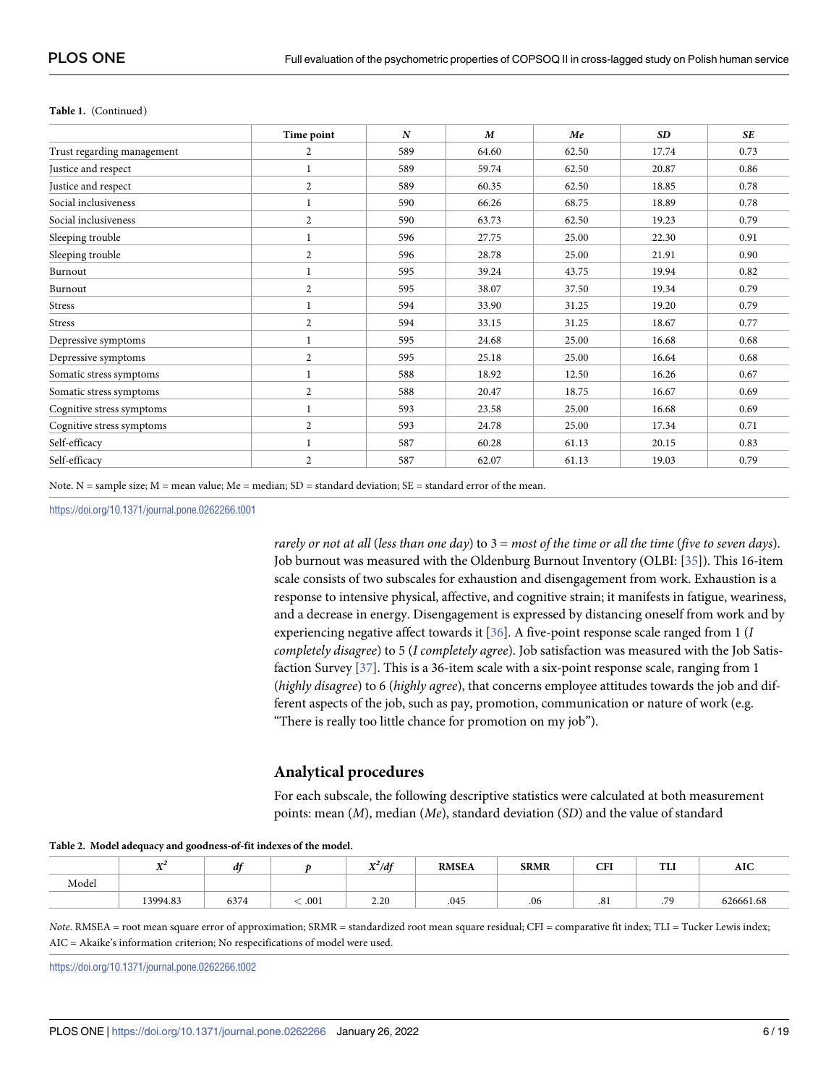|                            | Time point     | $\boldsymbol{N}$ | $\boldsymbol{M}$ | Me    | <b>SD</b> | <b>SE</b> |
|----------------------------|----------------|------------------|------------------|-------|-----------|-----------|
| Trust regarding management | 2              | 589              | 64.60            | 62.50 | 17.74     | 0.73      |
| Justice and respect        | 1              | 589              | 59.74            | 62.50 | 20.87     | 0.86      |
| Justice and respect        | $\overline{c}$ | 589              | 60.35            | 62.50 | 18.85     | 0.78      |
| Social inclusiveness       | 1              | 590              | 66.26            | 68.75 | 18.89     | 0.78      |
| Social inclusiveness       | $\overline{2}$ | 590              | 63.73            | 62.50 | 19.23     | 0.79      |
| Sleeping trouble           | 1              | 596              | 27.75            | 25.00 | 22.30     | 0.91      |
| Sleeping trouble           | $\overline{2}$ | 596              | 28.78            | 25.00 | 21.91     | 0.90      |
| Burnout                    |                | 595              | 39.24            | 43.75 | 19.94     | 0.82      |
| Burnout                    | 2              | 595              | 38.07            | 37.50 | 19.34     | 0.79      |
| <b>Stress</b>              | 1              | 594              | 33.90            | 31.25 | 19.20     | 0.79      |
| <b>Stress</b>              | $\overline{c}$ | 594              | 33.15            | 31.25 | 18.67     | 0.77      |
| Depressive symptoms        | 1              | 595              | 24.68            | 25.00 | 16.68     | 0.68      |
| Depressive symptoms        | $\overline{c}$ | 595              | 25.18            | 25.00 | 16.64     | 0.68      |
| Somatic stress symptoms    | 1              | 588              | 18.92            | 12.50 | 16.26     | 0.67      |
| Somatic stress symptoms    | $\overline{c}$ | 588              | 20.47            | 18.75 | 16.67     | 0.69      |
| Cognitive stress symptoms  | 1              | 593              | 23.58            | 25.00 | 16.68     | 0.69      |
| Cognitive stress symptoms  | $\overline{c}$ | 593              | 24.78            | 25.00 | 17.34     | 0.71      |
| Self-efficacy              | 1              | 587              | 60.28            | 61.13 | 20.15     | 0.83      |
| Self-efficacy              | $\overline{c}$ | 587              | 62.07            | 61.13 | 19.03     | 0.79      |

#### <span id="page-5-0"></span>**Table 1.** (Continued)

Note. N = sample size;  $M$  = mean value;  $Me$  = median;  $SD$  = standard deviation;  $SE$  = standard error of the mean.

<https://doi.org/10.1371/journal.pone.0262266.t001>

rarely or not at all (less than one day) to  $3 =$  most of the time or all the time (five to seven days). Job burnout was measured with the Oldenburg Burnout Inventory (OLBI: [\[35\]](#page-18-0)). This 16-item scale consists of two subscales for exhaustion and disengagement from work. Exhaustion is a response to intensive physical, affective, and cognitive strain; it manifests in fatigue, weariness, and a decrease in energy. Disengagement is expressed by distancing oneself from work and by experiencing negative affect towards it [\[36\]](#page-18-0). A five-point response scale ranged from 1 (*I completely disagree*) to 5 (*I completely agree*). Job satisfaction was measured with the Job Satisfaction Survey [[37](#page-18-0)]. This is a 36-item scale with a six-point response scale, ranging from 1 (*highly disagree*) to 6 (*highly agree*), that concerns employee attitudes towards the job and different aspects of the job, such as pay, promotion, communication or nature of work (e.g. "There is really too little chance for promotion on my job").

# **Analytical procedures**

For each subscale, the following descriptive statistics were calculated at both measurement points: mean (*M*), median (*Me*), standard deviation (*SD*) and the value of standard

#### **[Table](#page-6-0) 2. Model adequacy and goodness-of-fit indexes of the model.**

|       | XZ4      | $\mathbf{r}$<br>a |      | $X^2/df$ | <b>RMSEA</b> | <b>SRMR</b> | <b>CFI</b> | <b>FEIT</b><br>.        | <b>AIC</b> |
|-------|----------|-------------------|------|----------|--------------|-------------|------------|-------------------------|------------|
| Model |          |                   |      |          |              |             |            |                         |            |
|       | 13994.83 | 6374              | .001 | 2.20     | .045         | .06         | .81        | 70<br>$\cdot$ / $\cdot$ | 626661.68  |

*Note*. RMSEA = root mean square error of approximation; SRMR = standardized root mean square residual; CFI = comparative fit index; TLI = Tucker Lewis index; AIC = Akaike's information criterion; No respecifications of model were used.

<https://doi.org/10.1371/journal.pone.0262266.t002>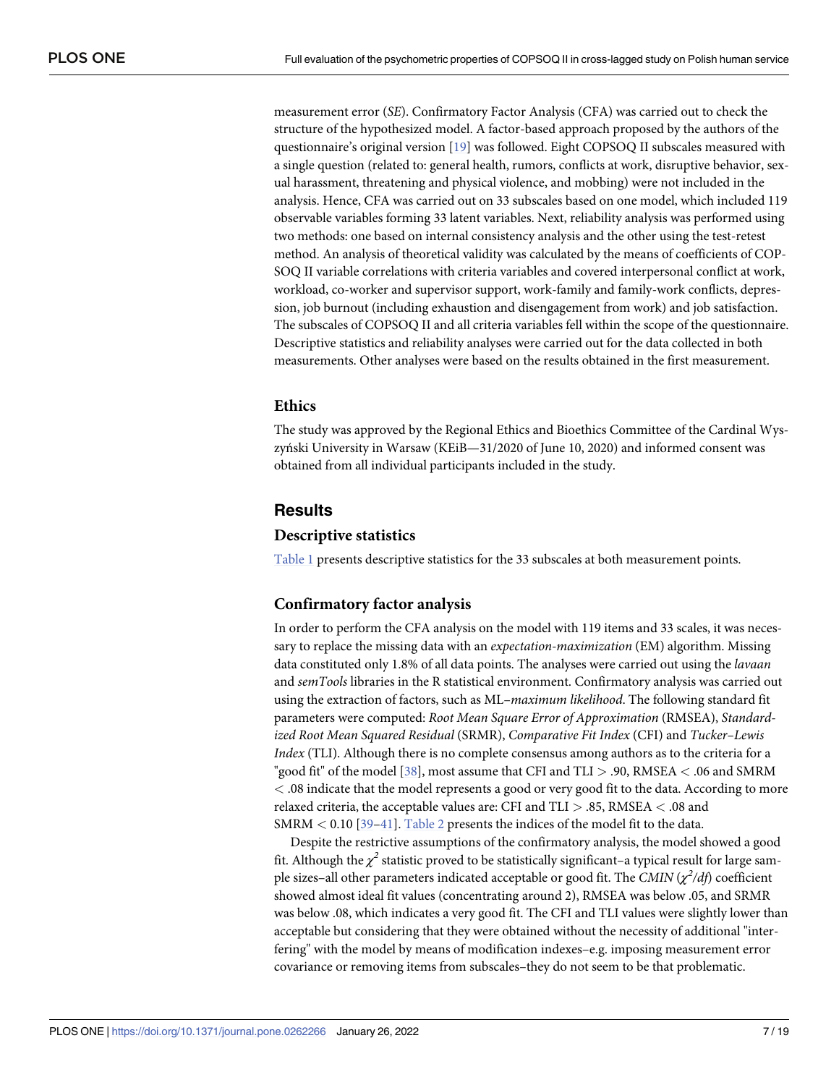<span id="page-6-0"></span>measurement error (*SE*). Confirmatory Factor Analysis (CFA) was carried out to check the structure of the hypothesized model. A factor-based approach proposed by the authors of the questionnaire's original version [[19](#page-17-0)] was followed. Eight COPSOQ II subscales measured with a single question (related to: general health, rumors, conflicts at work, disruptive behavior, sexual harassment, threatening and physical violence, and mobbing) were not included in the analysis. Hence, CFA was carried out on 33 subscales based on one model, which included 119 observable variables forming 33 latent variables. Next, reliability analysis was performed using two methods: one based on internal consistency analysis and the other using the test-retest method. An analysis of theoretical validity was calculated by the means of coefficients of COP-SOQ II variable correlations with criteria variables and covered interpersonal conflict at work, workload, co-worker and supervisor support, work-family and family-work conflicts, depression, job burnout (including exhaustion and disengagement from work) and job satisfaction. The subscales of COPSOQ II and all criteria variables fell within the scope of the questionnaire. Descriptive statistics and reliability analyses were carried out for the data collected in both measurements. Other analyses were based on the results obtained in the first measurement.

# **Ethics**

The study was approved by the Regional Ethics and Bioethics Committee of the Cardinal Wyszyński University in Warsaw (KEiB—31/2020 of June 10, 2020) and informed consent was obtained from all individual participants included in the study.

## **Results**

### **Descriptive statistics**

[Table](#page-4-0) 1 presents descriptive statistics for the 33 subscales at both measurement points.

## **Confirmatory factor analysis**

In order to perform the CFA analysis on the model with 119 items and 33 scales, it was necessary to replace the missing data with an *expectation-maximization* (EM) algorithm. Missing data constituted only 1.8% of all data points. The analyses were carried out using the *lavaan* and *semTools* libraries in the R statistical environment. Confirmatory analysis was carried out using the extraction of factors, such as ML–*maximum likelihood*. The following standard fit parameters were computed: *Root Mean Square Error of Approximation* (RMSEA), *Standardized Root Mean Squared Residual* (SRMR), *Comparative Fit Index* (CFI) and *Tucker–Lewis Index* (TLI). Although there is no complete consensus among authors as to the criteria for a "good fit" of the model [\[38\]](#page-18-0), most assume that CFI and TLI *>* .90, RMSEA *<* .06 and SMRM *<* .08 indicate that the model represents a good or very good fit to the data. According to more relaxed criteria, the acceptable values are: CFI and TLI *>* .85, RMSEA *<* .08 and SMRM *<* 0.10 [\[39–41](#page-18-0)]. [Table](#page-5-0) 2 presents the indices of the model fit to the data.

Despite the restrictive assumptions of the confirmatory analysis, the model showed a good fit. Although the  $\chi^2$  statistic proved to be statistically significant–a typical result for large sample sizes–all other parameters indicated acceptable or good fit. The *CMIN* (*χ<sup>2</sup> /df*) coefficient showed almost ideal fit values (concentrating around 2), RMSEA was below .05, and SRMR was below .08, which indicates a very good fit. The CFI and TLI values were slightly lower than acceptable but considering that they were obtained without the necessity of additional "interfering" with the model by means of modification indexes–e.g. imposing measurement error covariance or removing items from subscales–they do not seem to be that problematic.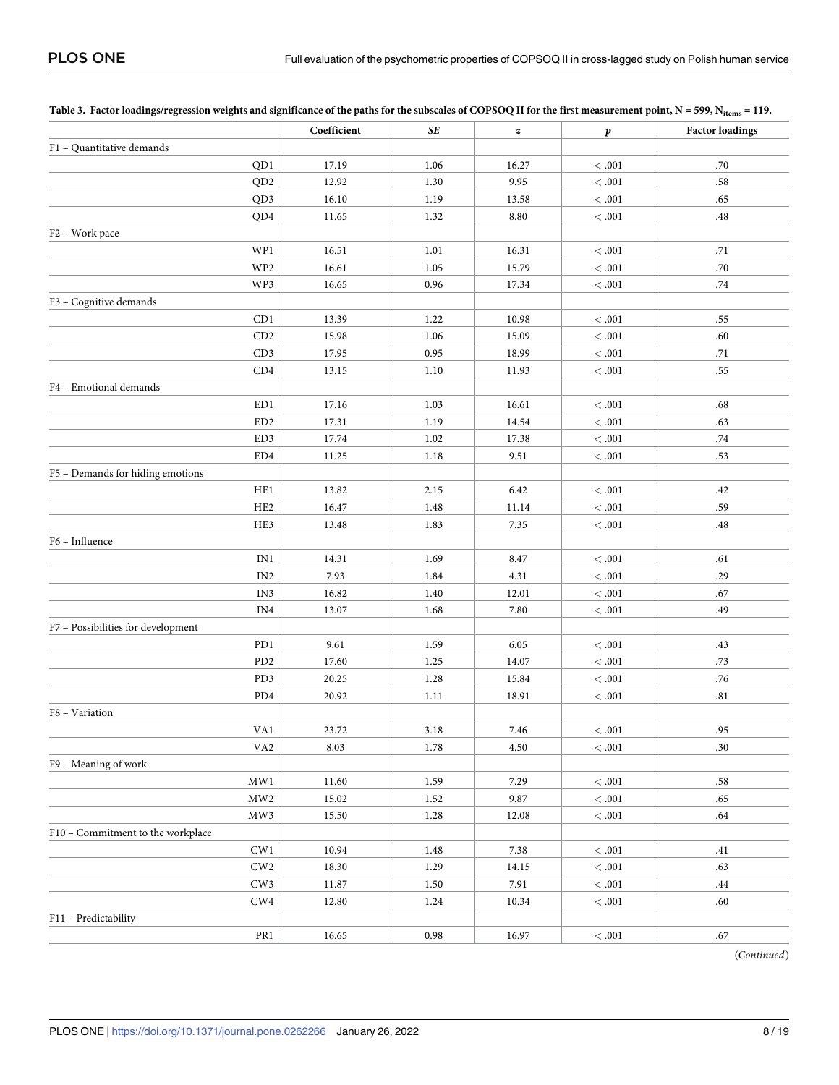|                                    | Coefficient | SE   | $\pmb{z}$ | p          | <b>Factor loadings</b> |
|------------------------------------|-------------|------|-----------|------------|------------------------|
| F1 - Quantitative demands          |             |      |           |            |                        |
| QD1                                | 17.19       | 1.06 | 16.27     | < 0.001    | .70                    |
| QD <sub>2</sub>                    | 12.92       | 1.30 | 9.95      | $< .001\,$ | .58                    |
| QD3                                | 16.10       | 1.19 | 13.58     | $< .001\,$ | .65                    |
| QD4                                | 11.65       | 1.32 | 8.80      | $< .001\,$ | .48                    |
| F <sub>2</sub> – Work pace         |             |      |           |            |                        |
| WP1                                | 16.51       | 1.01 | 16.31     | $< .001\,$ | .71                    |
| WP <sub>2</sub>                    | 16.61       | 1.05 | 15.79     | $< .001\,$ | .70                    |
| WP3                                | 16.65       | 0.96 | 17.34     | $<.001\,$  | .74                    |
| F3 - Cognitive demands             |             |      |           |            |                        |
| CD1                                | 13.39       | 1.22 | 10.98     | $< .001\,$ | .55                    |
| CD2                                | 15.98       | 1.06 | 15.09     | $< .001\,$ | .60                    |
| CD3                                | 17.95       | 0.95 | 18.99     | $< .001\,$ | .71                    |
| CD4                                | 13.15       | 1.10 | 11.93     | $< .001\,$ | .55                    |
| F4 - Emotional demands             |             |      |           |            |                        |
| ED1                                | 17.16       | 1.03 | 16.61     | $< .001\,$ | $.68\,$                |
| ED <sub>2</sub>                    | 17.31       | 1.19 | 14.54     | $<.001\,$  | .63                    |
| ED3                                | 17.74       | 1.02 | 17.38     | $< .001\,$ | .74                    |
| ED4                                | 11.25       | 1.18 | 9.51      | $< .001\,$ | .53                    |
| F5 - Demands for hiding emotions   |             |      |           |            |                        |
| HE1                                | 13.82       | 2.15 | 6.42      | $< .001\,$ | .42                    |
| HE <sub>2</sub>                    | 16.47       | 1.48 | 11.14     | $< .001\,$ | .59                    |
| HE3                                | 13.48       | 1.83 | 7.35      | $< .001\,$ | .48                    |
| F6 - Influence                     |             |      |           |            |                        |
| IN1                                | 14.31       | 1.69 | 8.47      | $< .001\,$ | .61                    |
| IN <sub>2</sub>                    | 7.93        | 1.84 | 4.31      | $< .001\,$ | .29                    |
| IN3                                | 16.82       | 1.40 | 12.01     | $< .001\,$ | .67                    |
| IN4                                | 13.07       | 1.68 | 7.80      | $< .001\,$ | .49                    |
| F7 - Possibilities for development |             |      |           |            |                        |
| PD1                                | 9.61        | 1.59 | 6.05      | $< .001\,$ | .43                    |
| PD <sub>2</sub>                    | 17.60       | 1.25 | 14.07     | $< .001\,$ | .73                    |
| PD3                                | 20.25       | 1.28 | 15.84     | $< .001\,$ | .76                    |
| PD4                                | 20.92       | 1.11 | 18.91     | $<.001\,$  | .81                    |
| F8 - Variation                     |             |      |           |            |                        |
| VA1                                | 23.72       | 3.18 | 7.46      | < 0.001    | .95                    |
| VA <sub>2</sub>                    | 8.03        | 1.78 | 4.50      | < 0.01     | .30                    |
| F9 - Meaning of work               |             |      |           |            |                        |
| $\text{MW1}$                       | 11.60       | 1.59 | 7.29      | $< .001\,$ | .58                    |
| $\rm MW2$                          | 15.02       | 1.52 | 9.87      | <.001      | .65                    |
| MW3                                | 15.50       | 1.28 | 12.08     | $< .001\,$ | .64                    |
| F10 - Commitment to the workplace  |             |      |           |            |                        |
| CW1                                | 10.94       | 1.48 | 7.38      | $< .001\,$ | .41                    |
| ${\rm\bf CW2}$                     | 18.30       | 1.29 | 14.15     | $<.001\,$  | .63                    |
| CW3                                | $11.87\,$   | 1.50 | 7.91      | $<.001\,$  | .44                    |
| ${\rm CW4}$                        | 12.80       | 1.24 | 10.34     | $<.001\,$  | .60                    |
| F11 - Predictability               |             |      |           |            |                        |
| $\rm PR1$                          | 16.65       | 0.98 | 16.97     | $< .001\,$ | .67                    |

<span id="page-7-0"></span>

| Table 3. Factor loadings/regression weights and significance of the paths for the subscales of COPSOQ II for the first measurement point, $N = 599$ , $N_{\text{items}} = 119$ . |  |
|----------------------------------------------------------------------------------------------------------------------------------------------------------------------------------|--|
|----------------------------------------------------------------------------------------------------------------------------------------------------------------------------------|--|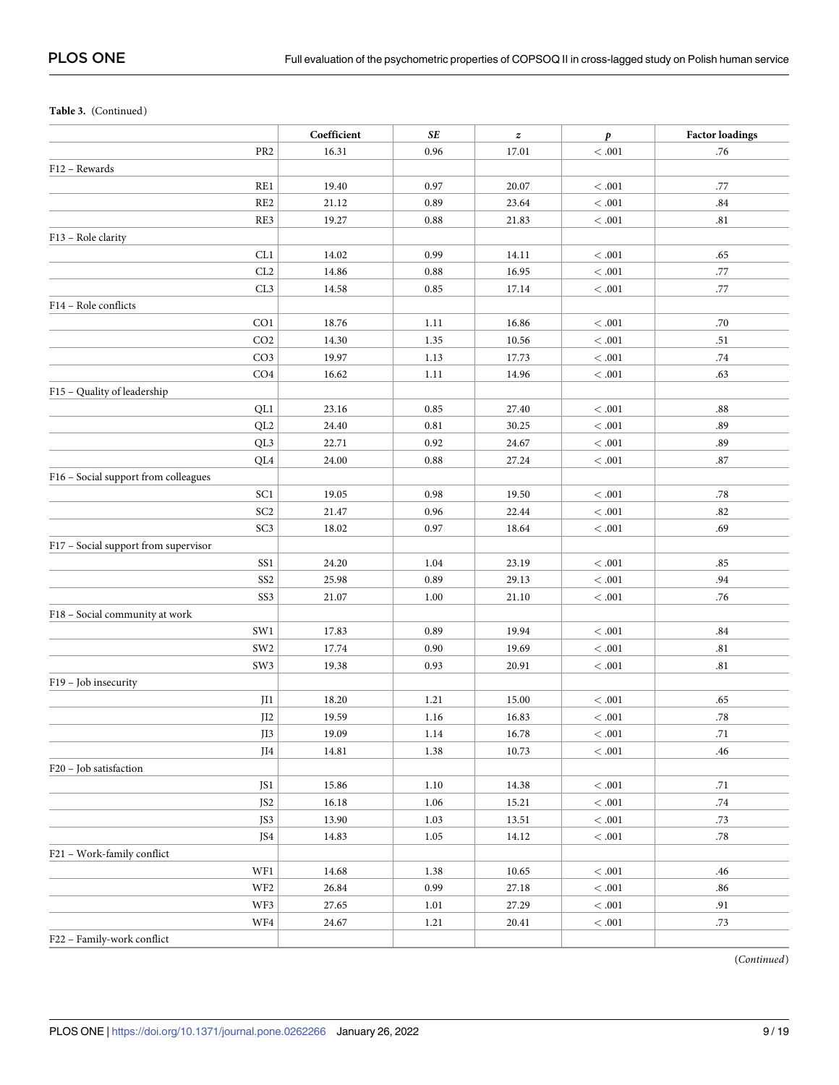## **Table 3.** (Continued)

|                                      | Coefficient | SE   | $\pmb{z}$ | $\pmb{p}$  | <b>Factor loadings</b> |
|--------------------------------------|-------------|------|-----------|------------|------------------------|
| PR <sub>2</sub>                      | 16.31       | 0.96 | 17.01     | $< .001\,$ | .76                    |
| F12 - Rewards                        |             |      |           |            |                        |
| RE1                                  | 19.40       | 0.97 | 20.07     | $<.001$    | .77                    |
| RE <sub>2</sub>                      | 21.12       | 0.89 | 23.64     | $<.001$    | .84                    |
| RE3                                  | 19.27       | 0.88 | 21.83     | $< .001\,$ | .81                    |
| F13 - Role clarity                   |             |      |           |            |                        |
| CL1                                  | 14.02       | 0.99 | 14.11     | $< .001\,$ | .65                    |
| CL2                                  | 14.86       | 0.88 | 16.95     | $< .001\,$ | .77                    |
| CL <sub>3</sub>                      | 14.58       | 0.85 | 17.14     | $< .001\,$ | .77                    |
| F14 - Role conflicts                 |             |      |           |            |                        |
| CO <sub>1</sub>                      | 18.76       | 1.11 | 16.86     | $< .001\,$ | .70                    |
| CO <sub>2</sub>                      | 14.30       | 1.35 | 10.56     | $< .001\,$ | .51                    |
| CO <sub>3</sub>                      | 19.97       | 1.13 | 17.73     | $< .001\,$ | .74                    |
| CO <sub>4</sub>                      | 16.62       | 1.11 | 14.96     | $<.001\,$  | .63                    |
| F15 - Quality of leadership          |             |      |           |            |                        |
| QL1                                  | 23.16       | 0.85 | 27.40     | < 0.001    | .88                    |
| QL <sub>2</sub>                      | 24.40       | 0.81 | 30.25     | $< .001\,$ | .89                    |
| QL3                                  | 22.71       | 0.92 | 24.67     | $< .001\,$ | .89                    |
| QL4                                  | 24.00       | 0.88 | 27.24     | $< .001\,$ | .87                    |
| F16 - Social support from colleagues |             |      |           |            |                        |
| SC1                                  | 19.05       | 0.98 | 19.50     | $< .001\,$ | .78                    |
| SC <sub>2</sub>                      | 21.47       | 0.96 | 22.44     | $< .001\,$ | .82                    |
| SC <sub>3</sub>                      | 18.02       | 0.97 | 18.64     | $< .001\,$ | .69                    |
| F17 - Social support from supervisor |             |      |           |            |                        |
| SS <sub>1</sub>                      | 24.20       | 1.04 | 23.19     | $< .001\,$ | .85                    |
| SS <sub>2</sub>                      | 25.98       | 0.89 | 29.13     | $< .001\,$ | .94                    |
| SS <sub>3</sub>                      | 21.07       | 1.00 | 21.10     | $< .001\,$ | .76                    |
| F18 - Social community at work       |             |      |           |            |                        |
| SW1                                  | 17.83       | 0.89 | 19.94     | $<.001\,$  | .84                    |
| SW <sub>2</sub>                      | 17.74       | 0.90 | 19.69     | $< .001\,$ | .81                    |
| SW <sub>3</sub>                      | 19.38       | 0.93 | 20.91     | $< .001\,$ | .81                    |
| F19 - Job insecurity                 |             |      |           |            |                        |
| JI1                                  | 18.20       | 1.21 | 15.00     | $< .001\,$ | .65                    |
| $\overline{J}12$                     | 19.59       | 1.16 | 16.83     | $< .001\,$ | $.78\,$                |
| JI3                                  | 19.09       | 1.14 | 16.78     | $< .001\,$ | .71                    |
| JI4                                  | 14.81       | 1.38 | 10.73     | $< .001\,$ | .46                    |
| F20 - Job satisfaction               |             |      |           |            |                        |
| JS1                                  | 15.86       | 1.10 | 14.38     | $< .001\,$ | .71                    |
| JS <sub>2</sub>                      | 16.18       | 1.06 | 15.21     | $< .001\,$ | .74                    |
| JS3                                  | 13.90       | 1.03 | 13.51     | $< .001\,$ | .73                    |
| JS4                                  | 14.83       | 1.05 | 14.12     | $< .001\,$ | $.78\,$                |
| F21 - Work-family conflict           |             |      |           |            |                        |
| WF1                                  | 14.68       | 1.38 | 10.65     | $< .001\,$ | .46                    |
| WF <sub>2</sub>                      | 26.84       | 0.99 | 27.18     | $< .001\,$ | .86                    |
| WF3                                  | 27.65       | 1.01 | 27.29     | $< .001\,$ | .91                    |
| WF4                                  | 24.67       | 1.21 | $20.41\,$ | $<.001\,$  | .73                    |
| F22 - Family-work conflict           |             |      |           |            |                        |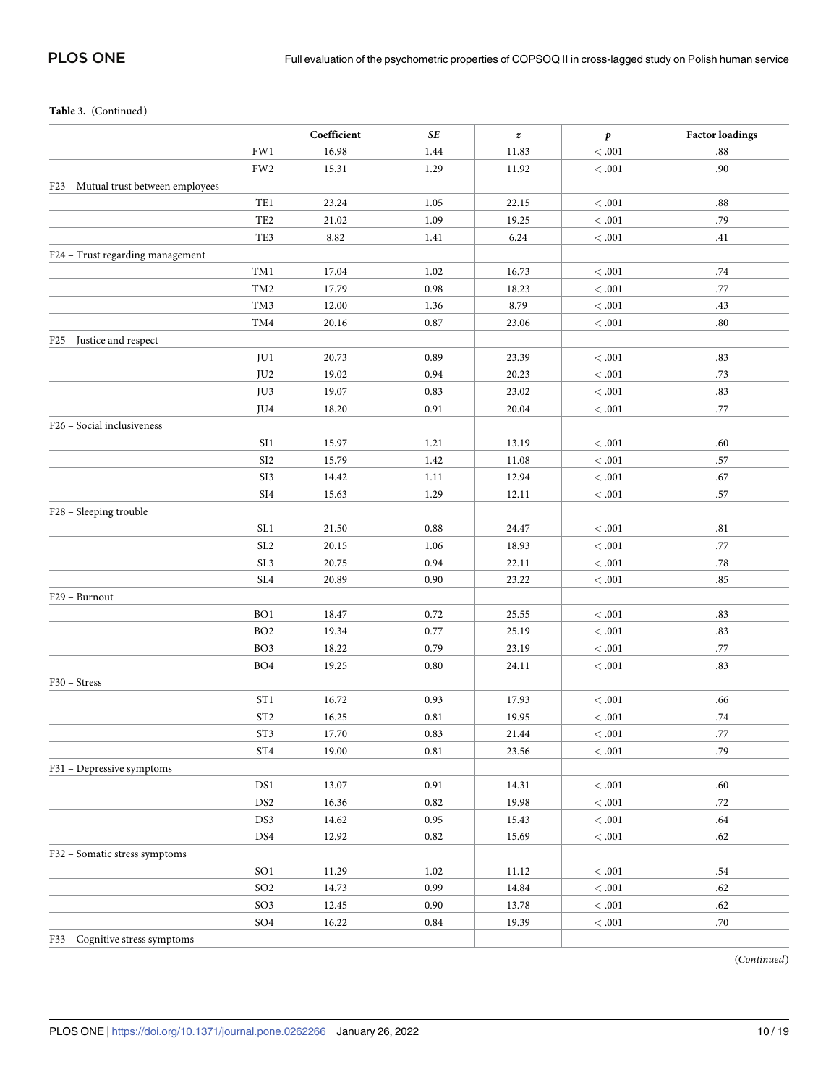**Table 3.** (Continued)

|                                      | Coefficient | SE   | $\pmb{z}$ | $\boldsymbol{p}$ | <b>Factor loadings</b> |
|--------------------------------------|-------------|------|-----------|------------------|------------------------|
| FW1                                  | 16.98       | 1.44 | 11.83     | $<.001$          | $\boldsymbol{.88}$     |
| FW <sub>2</sub>                      | 15.31       | 1.29 | 11.92     | $< .001\,$       | .90                    |
| F23 - Mutual trust between employees |             |      |           |                  |                        |
| TE1                                  | 23.24       | 1.05 | 22.15     | $<.001$          | $.88\,$                |
| TE <sub>2</sub>                      | 21.02       | 1.09 | 19.25     | $< .001\,$       | .79                    |
| TE3                                  | 8.82        | 1.41 | 6.24      | $<.001\,$        | .41                    |
| F24 - Trust regarding management     |             |      |           |                  |                        |
| TM1                                  | 17.04       | 1.02 | 16.73     | < 0.001          | .74                    |
| TM <sub>2</sub>                      | 17.79       | 0.98 | 18.23     | $< .001\,$       | .77                    |
| TM3                                  | 12.00       | 1.36 | 8.79      | <.001            | .43                    |
| TM4                                  | 20.16       | 0.87 | 23.06     | $< .001\,$       | .80                    |
| F25 - Justice and respect            |             |      |           |                  |                        |
| JU1                                  | 20.73       | 0.89 | 23.39     | $< .001\,$       | .83                    |
| JU <sub>2</sub>                      | 19.02       | 0.94 | 20.23     | $< .001\,$       | .73                    |
| JU3                                  | 19.07       | 0.83 | 23.02     | $< .001\,$       | .83                    |
| JU4                                  | 18.20       | 0.91 | 20.04     | $< .001\,$       | .77                    |
| F26 - Social inclusiveness           |             |      |           |                  |                        |
| SI1                                  | 15.97       | 1.21 | 13.19     | < 0.001          | .60                    |
| SI <sub>2</sub>                      | 15.79       | 1.42 | 11.08     | $< .001\,$       | .57                    |
| SI3                                  | 14.42       | 1.11 | 12.94     | $< .001\,$       | .67                    |
| SI <sub>4</sub>                      | 15.63       | 1.29 | 12.11     | $< .001\,$       | .57                    |
| F28 - Sleeping trouble               |             |      |           |                  |                        |
| SL <sub>1</sub>                      | 21.50       | 0.88 | 24.47     | < 0.001          | .81                    |
| SL <sub>2</sub>                      | 20.15       | 1.06 | 18.93     | $< .001\,$       | .77                    |
| SL <sub>3</sub>                      | 20.75       | 0.94 | 22.11     | $< .001\,$       | .78                    |
| SL <sub>4</sub>                      | 20.89       | 0.90 | 23.22     | $< .001\,$       | .85                    |
| F29 - Burnout                        |             |      |           |                  |                        |
| BO <sub>1</sub>                      | 18.47       | 0.72 | 25.55     | $< .001\,$       | .83                    |
| BO <sub>2</sub>                      | 19.34       | 0.77 | 25.19     | $< .001\,$       | .83                    |
| BO <sub>3</sub>                      | 18.22       | 0.79 | 23.19     | $< .001\,$       | .77                    |
| BO <sub>4</sub>                      | 19.25       | 0.80 | 24.11     | <.001            | .83                    |
| F30 – Stress                         |             |      |           |                  |                        |
| ST <sub>1</sub>                      | 16.72       | 0.93 | 17.93     | < 0.01           | .66                    |
| ST <sub>2</sub>                      | 16.25       | 0.81 | 19.95     | $<.001\,$        | .74                    |
| ST3                                  | 17.70       | 0.83 | 21.44     | $< .001\,$       | .77                    |
| ST <sub>4</sub>                      | 19.00       | 0.81 | 23.56     | $< .001\,$       | .79                    |
| F31 - Depressive symptoms            |             |      |           |                  |                        |
| DS1                                  | 13.07       | 0.91 | 14.31     | $< .001\,$       | .60                    |
| DS <sub>2</sub>                      | 16.36       | 0.82 | 19.98     | $< .001\,$       | .72                    |
| DS3                                  | 14.62       | 0.95 | 15.43     | $< .001\,$       | .64                    |
| DS4                                  | 12.92       | 0.82 | 15.69     | $< .001\,$       | .62                    |
| F32 - Somatic stress symptoms        |             |      |           |                  |                        |
| SO <sub>1</sub>                      | 11.29       | 1.02 | 11.12     | $< .001\,$       | .54                    |
| $\rm SO2$                            | 14.73       | 0.99 | 14.84     | $< .001\,$       | .62                    |
| SO <sub>3</sub>                      | 12.45       | 0.90 | 13.78     | $<.001\,$        | .62                    |
| SO <sub>4</sub>                      | 16.22       | 0.84 | 19.39     | $<.001\,$        | .70                    |
| F33 - Cognitive stress symptoms      |             |      |           |                  |                        |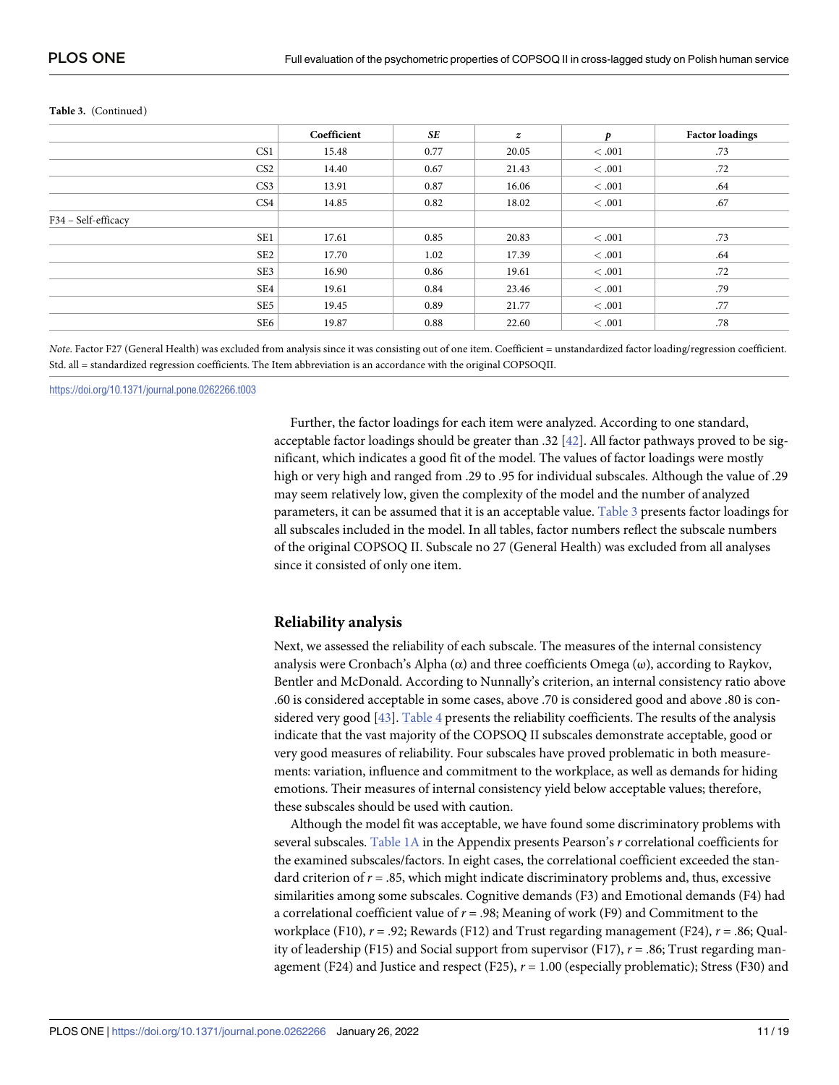|                     | Coefficient | <b>SE</b> | $\boldsymbol{z}$ | p     | <b>Factor loadings</b> |
|---------------------|-------------|-----------|------------------|-------|------------------------|
| CS <sub>1</sub>     | 15.48       | 0.77      | 20.05            | <.001 | .73                    |
| CS <sub>2</sub>     | 14.40       | 0.67      | 21.43            | <.001 | .72                    |
| CS <sub>3</sub>     | 13.91       | 0.87      | 16.06            | <.001 | .64                    |
| CS4                 | 14.85       | 0.82      | 18.02            | <.001 | .67                    |
| F34 - Self-efficacy |             |           |                  |       |                        |
| SE <sub>1</sub>     | 17.61       | 0.85      | 20.83            | <.001 | .73                    |
| SE <sub>2</sub>     | 17.70       | 1.02      | 17.39            | <.001 | .64                    |
| SE3                 | 16.90       | 0.86      | 19.61            | <.001 | .72                    |
| SE4                 | 19.61       | 0.84      | 23.46            | <.001 | .79                    |
| SE <sub>5</sub>     | 19.45       | 0.89      | 21.77            | <.001 | .77                    |
| SE6                 | 19.87       | 0.88      | 22.60            | <.001 | .78                    |

#### <span id="page-10-0"></span>**Table 3.** (Continued)

*Note*. Factor F27 (General Health) was excluded from analysis since it was consisting out of one item. Coefficient = unstandardized factor loading/regression coefficient. Std. all = standardized regression coefficients. The Item abbreviation is an accordance with the original COPSOQII.

<https://doi.org/10.1371/journal.pone.0262266.t003>

Further, the factor loadings for each item were analyzed. According to one standard, acceptable factor loadings should be greater than .32 [\[42\]](#page-18-0). All factor pathways proved to be significant, which indicates a good fit of the model. The values of factor loadings were mostly high or very high and ranged from .29 to .95 for individual subscales. Although the value of .29 may seem relatively low, given the complexity of the model and the number of analyzed parameters, it can be assumed that it is an acceptable value. [Table](#page-7-0) 3 presents factor loadings for all subscales included in the model. In all tables, factor numbers reflect the subscale numbers of the original COPSOQ II. Subscale no 27 (General Health) was excluded from all analyses since it consisted of only one item.

### **Reliability analysis**

Next, we assessed the reliability of each subscale. The measures of the internal consistency analysis were Cronbach's Alpha ( $\alpha$ ) and three coefficients Omega ( $\omega$ ), according to Raykov, Bentler and McDonald. According to Nunnally's criterion, an internal consistency ratio above .60 is considered acceptable in some cases, above .70 is considered good and above .80 is considered very good [\[43\]](#page-18-0). [Table](#page-11-0) 4 presents the reliability coefficients. The results of the analysis indicate that the vast majority of the COPSOQ II subscales demonstrate acceptable, good or very good measures of reliability. Four subscales have proved problematic in both measurements: variation, influence and commitment to the workplace, as well as demands for hiding emotions. Their measures of internal consistency yield below acceptable values; therefore, these subscales should be used with caution.

Although the model fit was acceptable, we have found some discriminatory problems with several subscales. [Table](#page-4-0) 1A in the Appendix presents Pearson's *r* correlational coefficients for the examined subscales/factors. In eight cases, the correlational coefficient exceeded the standard criterion of *r* = .85, which might indicate discriminatory problems and, thus, excessive similarities among some subscales. Cognitive demands (F3) and Emotional demands (F4) had a correlational coefficient value of *r* = .98; Meaning of work (F9) and Commitment to the workplace (F10), *r* = .92; Rewards (F12) and Trust regarding management (F24), *r* = .86; Quality of leadership (F15) and Social support from supervisor (F17), *r* = .86; Trust regarding management (F24) and Justice and respect (F25),  $r = 1.00$  (especially problematic); Stress (F30) and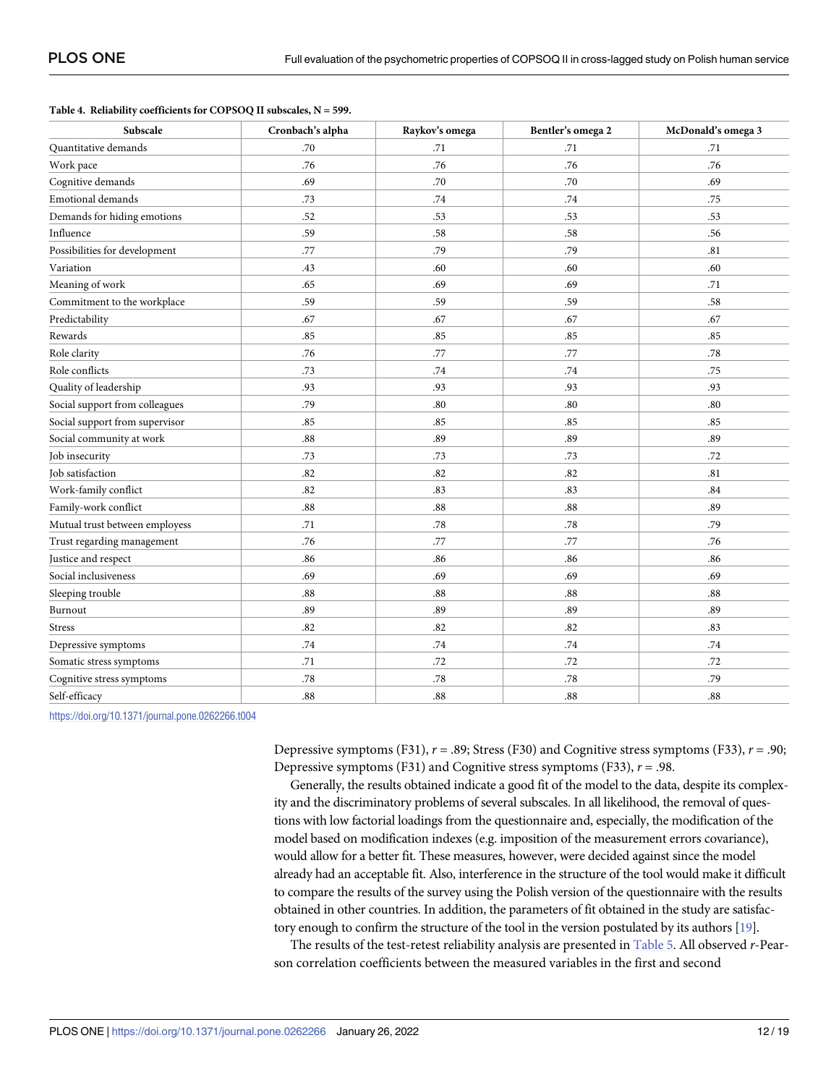<span id="page-11-0"></span>

|  |  |  |  | Table 4. Reliability coefficients for COPSOQ II subscales, $N = 599$ . |
|--|--|--|--|------------------------------------------------------------------------|
|--|--|--|--|------------------------------------------------------------------------|

| Subscale                       | Cronbach's alpha | Raykov's omega | Bentler's omega 2 | McDonald's omega 3 |
|--------------------------------|------------------|----------------|-------------------|--------------------|
| Quantitative demands           | .70              | .71            | .71               | .71                |
| Work pace                      | .76              | .76            | .76               | .76                |
| Cognitive demands              | .69              | .70            | .70               | .69                |
| <b>Emotional demands</b>       | .73              | .74            | .74               | .75                |
| Demands for hiding emotions    | .52              | .53            | .53               | .53                |
| Influence                      | .59              | .58            | .58               | .56                |
| Possibilities for development  | .77              | .79            | .79               | .81                |
| Variation                      | .43              | .60            | .60               | .60                |
| Meaning of work                | .65              | .69            | .69               | .71                |
| Commitment to the workplace    | .59              | .59            | .59               | .58                |
| Predictability                 | .67              | .67            | .67               | .67                |
| Rewards                        | .85              | .85            | .85               | .85                |
| Role clarity                   | .76              | .77            | .77               | .78                |
| Role conflicts                 | .73              | .74            | .74               | .75                |
| Quality of leadership          | .93              | .93            | .93               | .93                |
| Social support from colleagues | .79              | $.80\,$        | $.80\,$           | .80                |
| Social support from supervisor | .85              | .85            | .85               | .85                |
| Social community at work       | $.88\,$          | .89            | .89               | .89                |
| Job insecurity                 | .73              | .73            | .73               | .72                |
| <b>Job</b> satisfaction        | .82              | .82            | .82               | .81                |
| Work-family conflict           | .82              | .83            | .83               | .84                |
| Family-work conflict           | $.88\,$          | $.88\,$        | .88               | .89                |
| Mutual trust between employess | .71              | $.78\,$        | .78               | .79                |
| Trust regarding management     | .76              | .77            | .77               | .76                |
| Justice and respect            | .86              | .86            | .86               | .86                |
| Social inclusiveness           | .69              | .69            | .69               | .69                |
| Sleeping trouble               | .88              | $.88\,$        | .88               | .88                |
| Burnout                        | .89              | .89            | .89               | .89                |
| <b>Stress</b>                  | .82              | .82            | .82               | .83                |
| Depressive symptoms            | .74              | .74            | .74               | .74                |
| Somatic stress symptoms        | .71              | .72            | .72               | .72                |
| Cognitive stress symptoms      | .78              | .78            | .78               | .79                |
| Self-efficacy                  | .88              | .88            | .88               | .88                |

<https://doi.org/10.1371/journal.pone.0262266.t004>

Depressive symptoms (F31), *r* = .89; Stress (F30) and Cognitive stress symptoms (F33), *r* = .90; Depressive symptoms (F31) and Cognitive stress symptoms (F33), *r* = .98.

Generally, the results obtained indicate a good fit of the model to the data, despite its complexity and the discriminatory problems of several subscales. In all likelihood, the removal of questions with low factorial loadings from the questionnaire and, especially, the modification of the model based on modification indexes (e.g. imposition of the measurement errors covariance), would allow for a better fit. These measures, however, were decided against since the model already had an acceptable fit. Also, interference in the structure of the tool would make it difficult to compare the results of the survey using the Polish version of the questionnaire with the results obtained in other countries. In addition, the parameters of fit obtained in the study are satisfactory enough to confirm the structure of the tool in the version postulated by its authors [[19](#page-17-0)].

The results of the test-retest reliability analysis are presented in [Table](#page-12-0) 5. All observed *r*-Pearson correlation coefficients between the measured variables in the first and second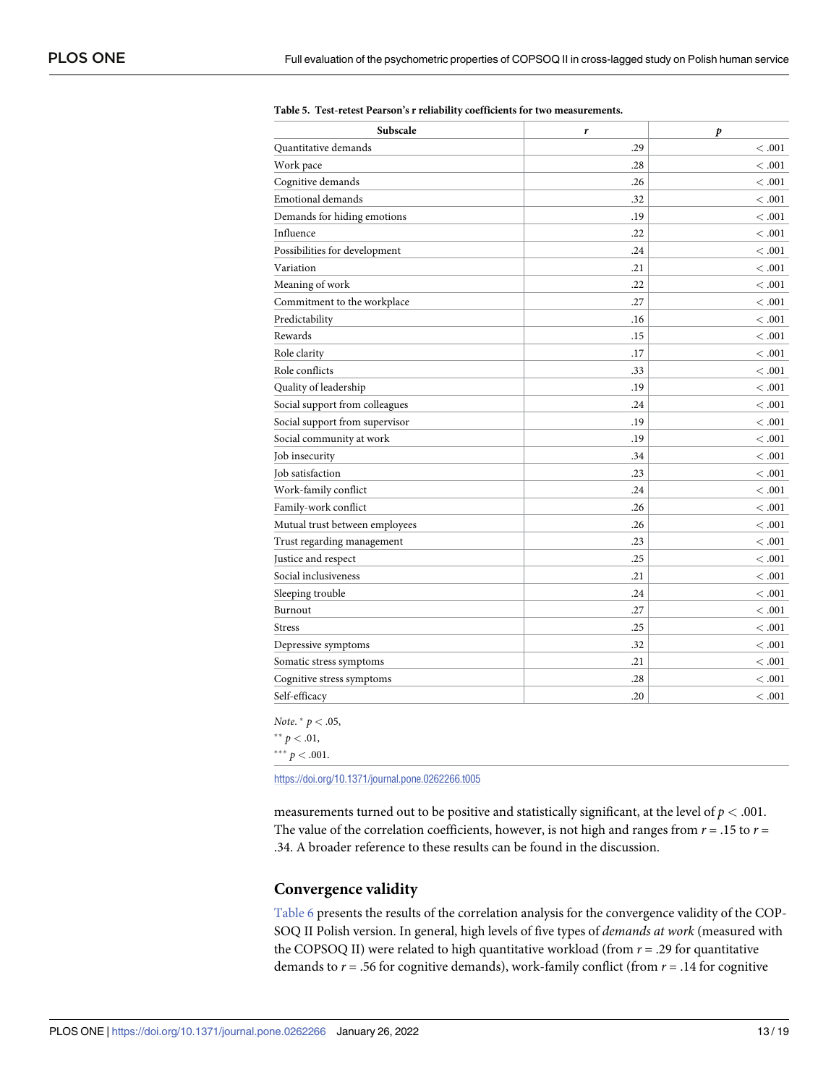| Subscale                       | r       | p         |
|--------------------------------|---------|-----------|
| Quantitative demands           | .29     | < .001    |
| Work pace                      | .28     | <.001     |
| Cognitive demands              | .26     | <.001     |
| <b>Emotional demands</b>       | .32     | <.001     |
| Demands for hiding emotions    | .19     | <.001     |
| Influence                      | .22     | $<.001\,$ |
| Possibilities for development  | .24     | < 0.01    |
| Variation                      | .21     | < 0.001   |
| Meaning of work                | .22     | < 0.001   |
| Commitment to the workplace    | .27     | <.001     |
| Predictability                 | .16     | < .001    |
| Rewards                        | .15     | <.001     |
| Role clarity                   | $.17\,$ | <.001     |
| Role conflicts                 | .33     | < 0.001   |
| Quality of leadership          | .19     | <.001     |
| Social support from colleagues | .24     | < 0.001   |
| Social support from supervisor | .19     | <.001     |
| Social community at work       | .19     | $<.001\,$ |
| Job insecurity                 | .34     | <.001     |
| Job satisfaction               | .23     | <.001     |
| Work-family conflict           | .24     | <.001     |
| Family-work conflict           | .26     | <.001     |
| Mutual trust between employees | .26     | < 0.01    |
| Trust regarding management     | .23     | <.001     |
| Justice and respect            | .25     | < 0.01    |
| Social inclusiveness           | .21     | <.001     |
| Sleeping trouble               | .24     | <.001     |
| Burnout                        | .27     | < 0.01    |
| <b>Stress</b>                  | .25     | < 0.001   |
| Depressive symptoms            | .32     | <.001     |
| Somatic stress symptoms        | .21     | <.001     |
| Cognitive stress symptoms      | .28     | <.001     |
| Self-efficacy                  | .20     | <.001     |

<span id="page-12-0"></span>**[Table](#page-11-0) 5. Test-retest Pearson's r reliability coefficients for two measurements.**

*Note*. � *p <* .05,

 $*$  *p*  $< .01$ ,

 $*** p < .001$ .

<https://doi.org/10.1371/journal.pone.0262266.t005>

measurements turned out to be positive and statistically significant, at the level of  $p < .001$ . The value of the correlation coefficients, however, is not high and ranges from  $r = .15$  to  $r =$ .34. A broader reference to these results can be found in the discussion.

# **Convergence validity**

[Table](#page-13-0) 6 presents the results of the correlation analysis for the convergence validity of the COP-SOQ II Polish version. In general, high levels of five types of *demands at work* (measured with the COPSOQ II) were related to high quantitative workload (from *r* = .29 for quantitative demands to  $r = .56$  for cognitive demands), work-family conflict (from  $r = .14$  for cognitive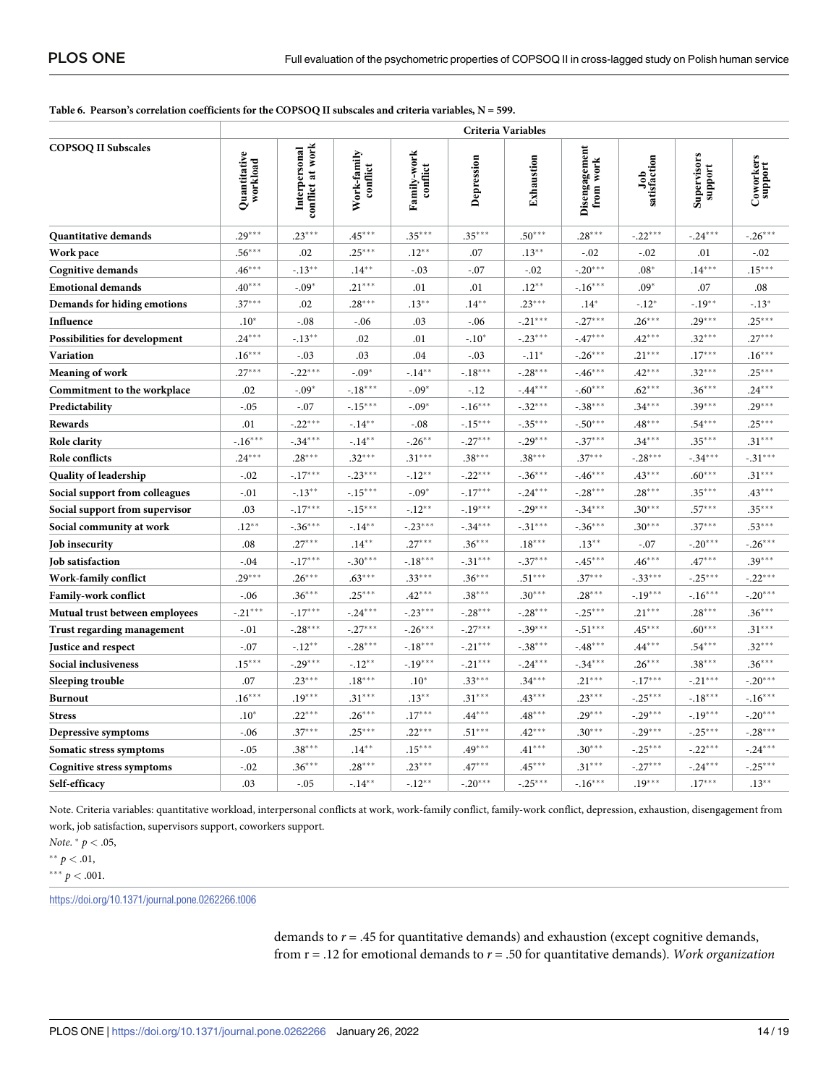#### <span id="page-13-0"></span>Table 6. Pearson's correlation coefficients for the COPSOQ II subscales and criteria variables, N = 599.

|                                | Criteria Variables       |                                   |                         |                         |                  |            |                                            |                     |                        |                      |
|--------------------------------|--------------------------|-----------------------------------|-------------------------|-------------------------|------------------|------------|--------------------------------------------|---------------------|------------------------|----------------------|
| <b>COPSOQ II Subscales</b>     | Quantitative<br>workload | conflict at work<br>Interpersonal | Work-family<br>conflict | Family-work<br>conflict | Depression       | Exhaustion | Disengagement<br>$\overline{vork}$<br>from | Job<br>satisfaction | Supervisors<br>support | Coworkers<br>support |
| <b>Quantitative demands</b>    | $.29***$                 | $.23***$                          | $.45***$                | $.35***$                | $.35***$         | $.50***$   | $.28***$                                   | $-.22***$           | $-.24***$              | $-.26***$            |
| <b>Work pace</b>               | $.56***$                 | .02                               | $.25***$                | $.12***$                | .07              | $.13***$   | $-.02$                                     | $-0.02$             | .01                    | $-.02$               |
| Cognitive demands              | $.46***$                 | $-.13**$                          | $.14***$                | $-.03$                  | $-.07$           | $-.02$     | $-.20***$                                  | $.08*$              | $.14***$               | $.15***$             |
| <b>Emotional demands</b>       | $.40***$                 | $-.09*$                           | $.21***$                | .01                     | .01              | $.12***$   | $-16***$                                   | $.09*$              | .07                    | .08                  |
| Demands for hiding emotions    | $.37***$                 | .02                               | $.28***$                | $.13***$                | $.14***$         | $.23***$   | $.14*$                                     | $-.12*$             | $-.19***$              | $-.13*$              |
| Influence                      | $.10*$                   | $-.08$                            | $-.06$                  | .03                     | $-.06$           | $-.21***$  | $-.27***$                                  | $.26***$            | $.29***$               | $.25***$             |
| Possibilities for development  | $.24***$                 | $-.13***$                         | .02                     | .01                     | $-.10*$          | $-.23***$  | $-.47***$                                  | $.42***$            | $.32***$               | $.27***$             |
| Variation                      | $.16***$                 | $-.03$                            | .03                     | .04                     | $-.03$           | $-.11*$    | $-.26***$                                  | $.21***$            | $.17***$               | $.16***$             |
| <b>Meaning of work</b>         | $.27***$                 | $-.22***$                         | $-.09*$                 | $-.14***$               | $-18***$         | $-.28***$  | $-46***$                                   | $.42***$            | $.32***$               | $.25***$             |
| Commitment to the workplace    | .02                      | $-.09*$                           | $-.18***$               | $-.09*$                 | $-.12$           | $-44***$   | $-.60***$                                  | $.62***$            | $.36***$               | $.24***$             |
| Predictability                 | $-.05$                   | $-.07$                            | $-.15***$               | $-.09*$                 | $-16***$         | $-32***$   | $-.38***$                                  | $.34***$            | $.39***$               | $.29***$             |
| Rewards                        | .01                      | $-.22***$                         | $-.14**$                | $-.08$                  | $\text{-}.15***$ | $-.35***$  | $-.50***$                                  | $.48***$            | $.54***$               | $.25***$             |
| <b>Role clarity</b>            | $-16***$                 | $-.34***$                         | $-.14**$                | $-.26**$                | $-.27***$        | $-.29***$  | $-.37***$                                  | $.34***$            | $.35***$               | $.31***$             |
| Role conflicts                 | $.24***$                 | $.28***$                          | $.32***$                | $.31***$                | $.38***$         | $.38***$   | $.37***$                                   | $-.28***$           | $-.34***$              | $-.31***$            |
| <b>Quality of leadership</b>   | $-.02$                   | $-.17***$                         | $-.23***$               | $-.12***$               | $-.22***$        | $-.36***$  | $-46***$                                   | $.43***$            | $.60***$               | $.31***$             |
| Social support from colleagues | $-.01$                   | $-.13***$                         | $-.15***$               | $-.09*$                 | $-.17***$        | $-.24***$  | $-.28***$                                  | $.28***$            | $.35***$               | $.43***$             |
| Social support from supervisor | .03                      | $-17***$                          | $-.15***$               | $-12**$                 | $-.19***$        | $-.29***$  | $-.34***$                                  | $.30***$            | $.57***$               | $.35***$             |
| Social community at work       | $.12**$                  | $-.36***$                         | $-.14***$               | $-.23***$               | $-.34***$        | $-.31***$  | $-.36***$                                  | $.30***$            | $.37***$               | $.53***$             |
| <b>Job</b> insecurity          | .08                      | $.27***$                          | $.14***$                | $.27***$                | $.36***$         | $.18***$   | $.13***$                                   | $-.07$              | $-.20***$              | $-.26***$            |
| <b>Job</b> satisfaction        | $-.04$                   | $-.17***$                         | $-.30***$               | $-.18***$               | $\text{-}.31***$ | $-.37***$  | $-.45***$                                  | $.46***$            | $.47***$               | $.39***$             |
| Work-family conflict           | $.29***$                 | $.26***$                          | $.63***$                | $.33***$                | $.36***$         | $.51***$   | $.37***$                                   | $-.33***$           | $-.25***$              | $-.22***$            |
| <b>Family-work conflict</b>    | $-.06$                   | $.36***$                          | $.25***$                | $.42***$                | $.38***$         | $.30***$   | $.28***$                                   | $-.19***$           | $-16***$               | $-.20***$            |
| Mutual trust between employees | $-.21***$                | $-.17***$                         | $-.24***$               | $-.23***$               | $-.28***$        | $-.28***$  | $-.25***$                                  | $.21***$            | $.28***$               | $.36***$             |
| Trust regarding management     | $-.01$                   | $-.28***$                         | $-.27***$               | $-.26***$               | $-.27***$        | $-0.39***$ | $-.51***$                                  | $.45***$            | $.60***$               | $.31***$             |
| Justice and respect            | $-.07$                   | $-.12**$                          | $-.28***$               | $-18***$                | -.21***          | $-.38***$  | $-48***$                                   | $.44***$            | $.54***$               | $.32***$             |
| Social inclusiveness           | $.15***$                 | $-.29***$                         | $-.12**$                | $-.19***$               | $-.21***$        | $-.24***$  | $-.34***$                                  | $.26***$            | $.38***$               | $.36***$             |
| Sleeping trouble               | .07                      | $.23***$                          | $.18***$                | $.10*$                  | $.33***$         | $.34***$   | $.21***$                                   | $-.17***$           | $-.21***$              | $-.20***$            |
| <b>Burnout</b>                 | $.16***$                 | $.19***$                          | $.31***$                | $.13***$                | $.31***$         | $.43***$   | $.23***$                                   | $-.25***$           | $\sim\!\!18^{***}$     | $-16***$             |
| <b>Stress</b>                  | $.10*$                   | $.22***$                          | $.26***$                | $.17***$                | $.44***$         | $.48***$   | $.29***$                                   | $-.29***$           | $-.19***$              | $-.20***$            |
| Depressive symptoms            | $-.06$                   | $.37***$                          | $.25***$                | $.22***$                | $.51***$         | $.42***$   | $.30***$                                   | $-.29***$           | $-.25***$              | $-.28***$            |
| Somatic stress symptoms        | $-.05$                   | $.38***$                          | $.14***$                | $.15***$                | $.49***$         | $.41***$   | $.30***$                                   | $-.25***$           | $-.22***$              | $-.24***$            |
| Cognitive stress symptoms      | $-.02$                   | $.36***$                          | $.28***$                | $.23***$                | $.47***$         | $.45***$   | $.31***$                                   | $-.27***$           | $-.24***$              | $-.25***$            |
| Self-efficacy                  | .03                      | $-.05$                            | $-.14***$               | $-.12**$                | $-.20***$        | $-.25***$  | $-16***$                                   | $.19***$            | $.17***$               | $.13***$             |

Note. Criteria variables: quantitative workload, interpersonal conflicts at work, work-family conflict, family-work conflict, depression, exhaustion, disengagement from work, job satisfaction, supervisors support, coworkers support.

*Note.* \*  $p < .05$ ,

\*\*  $p < .01$ ,

\*\*\*  $p < .001$ .

https://doi.org/10.1371/journal.pone.0262266.t006

demands to  $r = .45$  for quantitative demands) and exhaustion (except cognitive demands, from  $r = .12$  for emotional demands to  $r = .50$  for quantitative demands). Work organization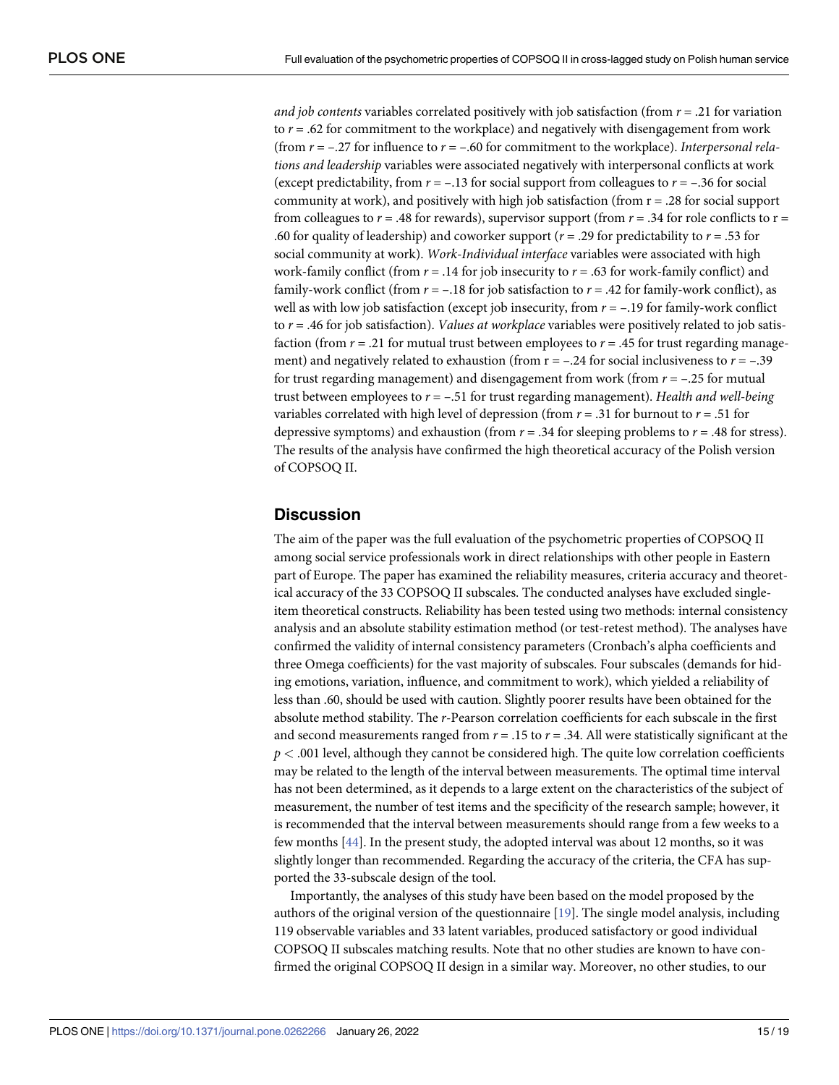<span id="page-14-0"></span>*and job contents* variables correlated positively with *job* satisfaction (from  $r = .21$  for variation to  $r = .62$  for commitment to the workplace) and negatively with disengagement from work (from *r* = –.27 for influence to *r* = –.60 for commitment to the workplace). *Interpersonal relations and leadership* variables were associated negatively with interpersonal conflicts at work (except predictability, from  $r = -.13$  for social support from colleagues to  $r = -.36$  for social community at work), and positively with high job satisfaction (from  $r = .28$  for social support from colleagues to  $r = .48$  for rewards), supervisor support (from  $r = .34$  for role conflicts to  $r =$ .60 for quality of leadership) and coworker support (*r* = .29 for predictability to *r* = .53 for social community at work). *Work-Individual interface* variables were associated with high work-family conflict (from *r* = .14 for job insecurity to *r* = .63 for work-family conflict) and family-work conflict (from  $r = -.18$  for job satisfaction to  $r = .42$  for family-work conflict), as well as with low job satisfaction (except job insecurity, from  $r = -.19$  for family-work conflict to *r* = .46 for job satisfaction). *Values at workplace* variables were positively related to job satisfaction (from  $r = .21$  for mutual trust between employees to  $r = .45$  for trust regarding management) and negatively related to exhaustion (from  $r = -.24$  for social inclusiveness to  $r = -.39$ for trust regarding management) and disengagement from work (from *r* = –.25 for mutual trust between employees to *r* = –.51 for trust regarding management). *Health and well-being* variables correlated with high level of depression (from  $r = .31$  for burnout to  $r = .51$  for depressive symptoms) and exhaustion (from *r* = .34 for sleeping problems to *r* = .48 for stress). The results of the analysis have confirmed the high theoretical accuracy of the Polish version of COPSOQ II.

# **Discussion**

The aim of the paper was the full evaluation of the psychometric properties of COPSOQ II among social service professionals work in direct relationships with other people in Eastern part of Europe. The paper has examined the reliability measures, criteria accuracy and theoretical accuracy of the 33 COPSOQ II subscales. The conducted analyses have excluded singleitem theoretical constructs. Reliability has been tested using two methods: internal consistency analysis and an absolute stability estimation method (or test-retest method). The analyses have confirmed the validity of internal consistency parameters (Cronbach's alpha coefficients and three Omega coefficients) for the vast majority of subscales. Four subscales (demands for hiding emotions, variation, influence, and commitment to work), which yielded a reliability of less than .60, should be used with caution. Slightly poorer results have been obtained for the absolute method stability. The *r*-Pearson correlation coefficients for each subscale in the first and second measurements ranged from *r* = .15 to *r* = .34. All were statistically significant at the  $p < .001$  level, although they cannot be considered high. The quite low correlation coefficients may be related to the length of the interval between measurements. The optimal time interval has not been determined, as it depends to a large extent on the characteristics of the subject of measurement, the number of test items and the specificity of the research sample; however, it is recommended that the interval between measurements should range from a few weeks to a few months [\[44\]](#page-18-0). In the present study, the adopted interval was about 12 months, so it was slightly longer than recommended. Regarding the accuracy of the criteria, the CFA has supported the 33-subscale design of the tool.

Importantly, the analyses of this study have been based on the model proposed by the authors of the original version of the questionnaire [\[19\]](#page-17-0). The single model analysis, including 119 observable variables and 33 latent variables, produced satisfactory or good individual COPSOQ II subscales matching results. Note that no other studies are known to have confirmed the original COPSOQ II design in a similar way. Moreover, no other studies, to our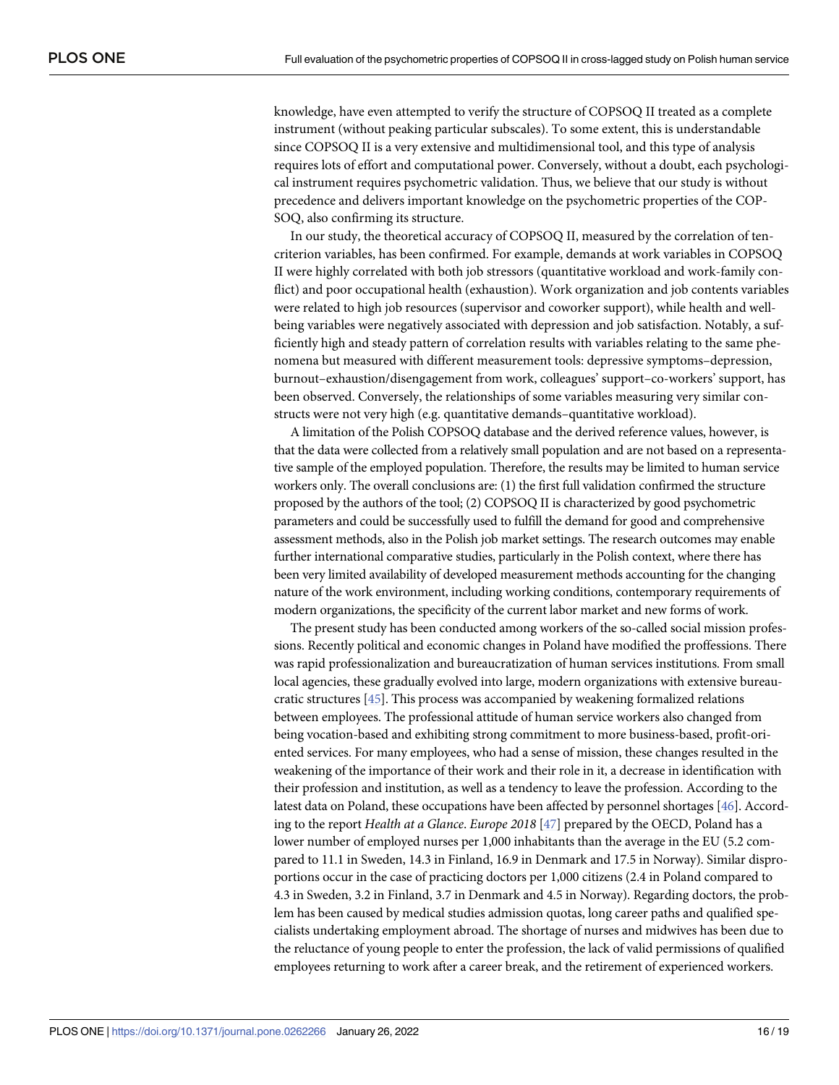<span id="page-15-0"></span>knowledge, have even attempted to verify the structure of COPSOQ II treated as a complete instrument (without peaking particular subscales). To some extent, this is understandable since COPSOQ II is a very extensive and multidimensional tool, and this type of analysis requires lots of effort and computational power. Conversely, without a doubt, each psychological instrument requires psychometric validation. Thus, we believe that our study is without precedence and delivers important knowledge on the psychometric properties of the COP-SOQ, also confirming its structure.

In our study, the theoretical accuracy of COPSOQ II, measured by the correlation of tencriterion variables, has been confirmed. For example, demands at work variables in COPSOQ II were highly correlated with both job stressors (quantitative workload and work-family conflict) and poor occupational health (exhaustion). Work organization and job contents variables were related to high job resources (supervisor and coworker support), while health and wellbeing variables were negatively associated with depression and job satisfaction. Notably, a sufficiently high and steady pattern of correlation results with variables relating to the same phenomena but measured with different measurement tools: depressive symptoms–depression, burnout–exhaustion/disengagement from work, colleagues' support–co-workers' support, has been observed. Conversely, the relationships of some variables measuring very similar constructs were not very high (e.g. quantitative demands–quantitative workload).

A limitation of the Polish COPSOQ database and the derived reference values, however, is that the data were collected from a relatively small population and are not based on a representative sample of the employed population. Therefore, the results may be limited to human service workers only. The overall conclusions are: (1) the first full validation confirmed the structure proposed by the authors of the tool; (2) COPSOQ II is characterized by good psychometric parameters and could be successfully used to fulfill the demand for good and comprehensive assessment methods, also in the Polish job market settings. The research outcomes may enable further international comparative studies, particularly in the Polish context, where there has been very limited availability of developed measurement methods accounting for the changing nature of the work environment, including working conditions, contemporary requirements of modern organizations, the specificity of the current labor market and new forms of work.

The present study has been conducted among workers of the so-called social mission professions. Recently political and economic changes in Poland have modified the proffessions. There was rapid professionalization and bureaucratization of human services institutions. From small local agencies, these gradually evolved into large, modern organizations with extensive bureaucratic structures [[45\]](#page-18-0). This process was accompanied by weakening formalized relations between employees. The professional attitude of human service workers also changed from being vocation-based and exhibiting strong commitment to more business-based, profit-oriented services. For many employees, who had a sense of mission, these changes resulted in the weakening of the importance of their work and their role in it, a decrease in identification with their profession and institution, as well as a tendency to leave the profession. According to the latest data on Poland, these occupations have been affected by personnel shortages [\[46\]](#page-18-0). According to the report *Health at a Glance*. *Europe 2018* [[47](#page-18-0)] prepared by the OECD, Poland has a lower number of employed nurses per 1,000 inhabitants than the average in the EU (5.2 compared to 11.1 in Sweden, 14.3 in Finland, 16.9 in Denmark and 17.5 in Norway). Similar disproportions occur in the case of practicing doctors per 1,000 citizens (2.4 in Poland compared to 4.3 in Sweden, 3.2 in Finland, 3.7 in Denmark and 4.5 in Norway). Regarding doctors, the problem has been caused by medical studies admission quotas, long career paths and qualified specialists undertaking employment abroad. The shortage of nurses and midwives has been due to the reluctance of young people to enter the profession, the lack of valid permissions of qualified employees returning to work after a career break, and the retirement of experienced workers.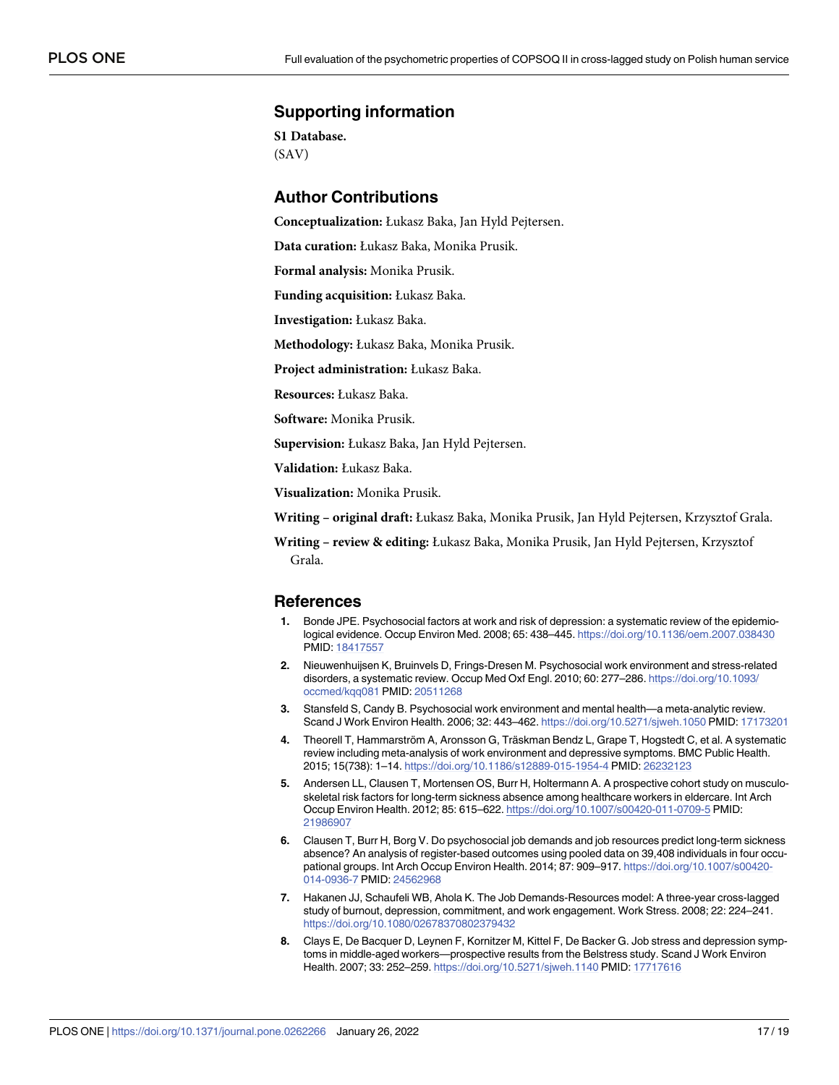# <span id="page-16-0"></span>**Supporting information**

**S1 [Database](http://www.plosone.org/article/fetchSingleRepresentation.action?uri=info:doi/10.1371/journal.pone.0262266.s001).** (SAV)

# **Author Contributions**

**Conceptualization:** Łukasz Baka, Jan Hyld Pejtersen.

**Data curation:** Łukasz Baka, Monika Prusik.

**Formal analysis:** Monika Prusik.

**Funding acquisition:** Łukasz Baka.

**Investigation:** Łukasz Baka.

**Methodology:** Łukasz Baka, Monika Prusik.

**Project administration:** Łukasz Baka.

**Resources:** Łukasz Baka.

**Software:** Monika Prusik.

**Supervision:** Łukasz Baka, Jan Hyld Pejtersen.

**Validation:** Łukasz Baka.

**Visualization:** Monika Prusik.

**Writing – original draft:** Łukasz Baka, Monika Prusik, Jan Hyld Pejtersen, Krzysztof Grala.

**Writing – review & editing:** Łukasz Baka, Monika Prusik, Jan Hyld Pejtersen, Krzysztof Grala.

# **References**

- **[1](#page-1-0).** Bonde JPE. Psychosocial factors at work and risk of depression: a systematic review of the epidemiological evidence. Occup Environ Med. 2008; 65: 438–445. <https://doi.org/10.1136/oem.2007.038430> PMID: [18417557](http://www.ncbi.nlm.nih.gov/pubmed/18417557)
- **2.** Nieuwenhuijsen K, Bruinvels D, Frings-Dresen M. Psychosocial work environment and stress-related disorders, a systematic review. Occup Med Oxf Engl. 2010; 60: 277–286. [https://doi.org/10.1093/](https://doi.org/10.1093/occmed/kqq081) [occmed/kqq081](https://doi.org/10.1093/occmed/kqq081) PMID: [20511268](http://www.ncbi.nlm.nih.gov/pubmed/20511268)
- **3.** Stansfeld S, Candy B. Psychosocial work environment and mental health—a meta-analytic review. Scand J Work Environ Health. 2006; 32: 443–462. <https://doi.org/10.5271/sjweh.1050> PMID: [17173201](http://www.ncbi.nlm.nih.gov/pubmed/17173201)
- **[4](#page-1-0).** Theorell T, Hammarström A, Aronsson G, Träskman Bendz L, Grape T, Hogstedt C, et al. A systematic review including meta-analysis of work environment and depressive symptoms. BMC Public Health. 2015; 15(738): 1–14. <https://doi.org/10.1186/s12889-015-1954-4> PMID: [26232123](http://www.ncbi.nlm.nih.gov/pubmed/26232123)
- **[5](#page-1-0).** Andersen LL, Clausen T, Mortensen OS, Burr H, Holtermann A. A prospective cohort study on musculoskeletal risk factors for long-term sickness absence among healthcare workers in eldercare. Int Arch Occup Environ Health. 2012; 85: 615–622. <https://doi.org/10.1007/s00420-011-0709-5> PMID: [21986907](http://www.ncbi.nlm.nih.gov/pubmed/21986907)
- **6.** Clausen T, Burr H, Borg V. Do psychosocial job demands and job resources predict long-term sickness absence? An analysis of register-based outcomes using pooled data on 39,408 individuals in four occupational groups. Int Arch Occup Environ Health. 2014; 87: 909–917. [https://doi.org/10.1007/s00420-](https://doi.org/10.1007/s00420-014-0936-7) [014-0936-7](https://doi.org/10.1007/s00420-014-0936-7) PMID: [24562968](http://www.ncbi.nlm.nih.gov/pubmed/24562968)
- **[7](#page-1-0).** Hakanen JJ, Schaufeli WB, Ahola K. The Job Demands-Resources model: A three-year cross-lagged study of burnout, depression, commitment, and work engagement. Work Stress. 2008; 22: 224–241. <https://doi.org/10.1080/02678370802379432>
- **[8](#page-1-0).** Clays E, De Bacquer D, Leynen F, Kornitzer M, Kittel F, De Backer G. Job stress and depression symptoms in middle-aged workers—prospective results from the Belstress study. Scand J Work Environ Health. 2007; 33: 252–259. <https://doi.org/10.5271/sjweh.1140> PMID: [17717616](http://www.ncbi.nlm.nih.gov/pubmed/17717616)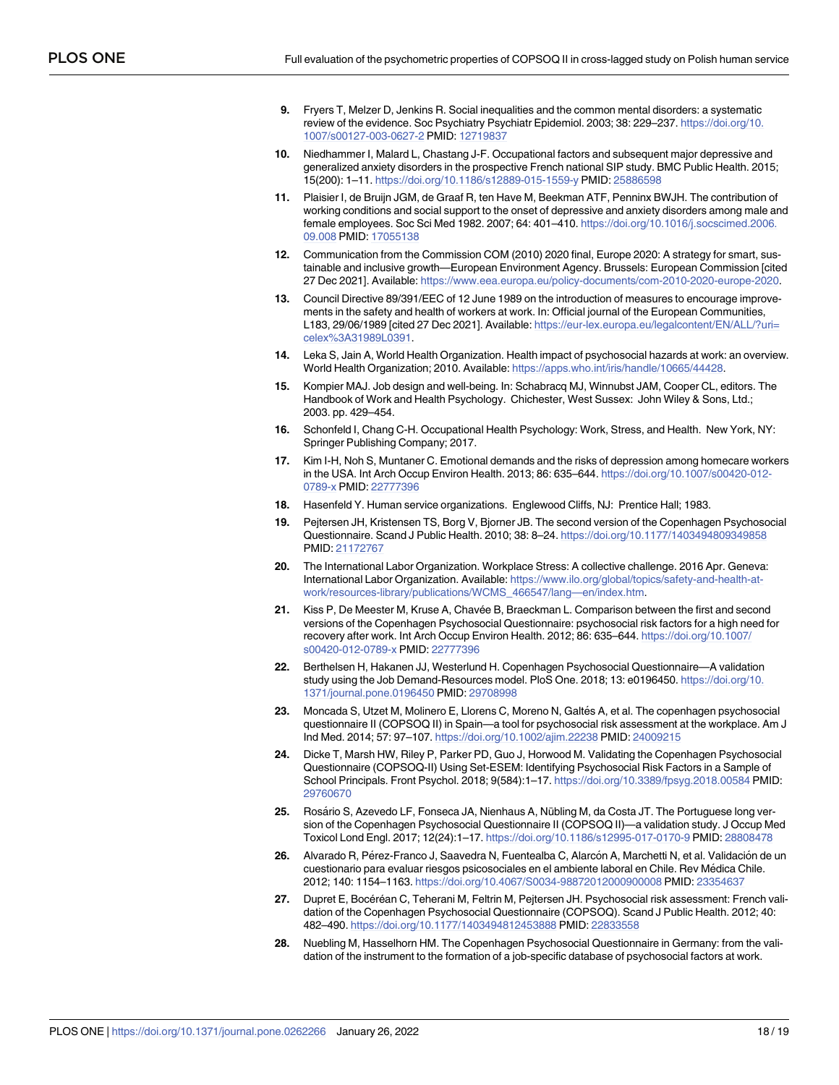- <span id="page-17-0"></span>**9.** Fryers T, Melzer D, Jenkins R. Social inequalities and the common mental disorders: a systematic review of the evidence. Soc Psychiatry Psychiatr Epidemiol. 2003; 38: 229–237. [https://doi.org/10.](https://doi.org/10.1007/s00127-003-0627-2) [1007/s00127-003-0627-2](https://doi.org/10.1007/s00127-003-0627-2) PMID: [12719837](http://www.ncbi.nlm.nih.gov/pubmed/12719837)
- **10.** Niedhammer I, Malard L, Chastang J-F. Occupational factors and subsequent major depressive and generalized anxiety disorders in the prospective French national SIP study. BMC Public Health. 2015; 15(200): 1–11. <https://doi.org/10.1186/s12889-015-1559-y> PMID: [25886598](http://www.ncbi.nlm.nih.gov/pubmed/25886598)
- **[11](#page-1-0).** Plaisier I, de Bruijn JGM, de Graaf R, ten Have M, Beekman ATF, Penninx BWJH. The contribution of working conditions and social support to the onset of depressive and anxiety disorders among male and female employees. Soc Sci Med 1982. 2007; 64: 401–410. [https://doi.org/10.1016/j.socscimed.2006.](https://doi.org/10.1016/j.socscimed.2006.09.008) [09.008](https://doi.org/10.1016/j.socscimed.2006.09.008) PMID: [17055138](http://www.ncbi.nlm.nih.gov/pubmed/17055138)
- **[12](#page-1-0).** Communication from the Commission COM (2010) 2020 final, Europe 2020: A strategy for smart, sustainable and inclusive growth—European Environment Agency. Brussels: European Commission [cited 27 Dec 2021]. Available: <https://www.eea.europa.eu/policy-documents/com-2010-2020-europe-2020>.
- **[13](#page-1-0).** Council Directive 89/391/EEC of 12 June 1989 on the introduction of measures to encourage improvements in the safety and health of workers at work. In: Official journal of the European Communities, L183, 29/06/1989 [cited 27 Dec 2021]. Available: [https://eur-lex.europa.eu/legalcontent/EN/ALL/?uri=](https://eur-lex.europa.eu/legalcontent/EN/ALL/?uri=celex%3A31989L0391) [celex%3A31989L0391](https://eur-lex.europa.eu/legalcontent/EN/ALL/?uri=celex%3A31989L0391).
- **[14](#page-1-0).** Leka S, Jain A, World Health Organization. Health impact of psychosocial hazards at work: an overview. World Health Organization; 2010. Available: [https://apps.who.int/iris/handle/10665/44428.](https://apps.who.int/iris/handle/10665/44428)
- **[15](#page-1-0).** Kompier MAJ. Job design and well-being. In: Schabracq MJ, Winnubst JAM, Cooper CL, editors. The Handbook of Work and Health Psychology. Chichester, West Sussex: John Wiley & Sons, Ltd.; 2003. pp. 429–454.
- **[16](#page-1-0).** Schonfeld I, Chang C-H. Occupational Health Psychology: Work, Stress, and Health. New York, NY: Springer Publishing Company; 2017.
- **[17](#page-1-0).** Kim I-H, Noh S, Muntaner C. Emotional demands and the risks of depression among homecare workers in the USA. Int Arch Occup Environ Health. 2013; 86: 635–644. [https://doi.org/10.1007/s00420-012-](https://doi.org/10.1007/s00420-012-0789-x) [0789-x](https://doi.org/10.1007/s00420-012-0789-x) PMID: [22777396](http://www.ncbi.nlm.nih.gov/pubmed/22777396)
- **[18](#page-1-0).** Hasenfeld Y. Human service organizations. Englewood Cliffs, NJ: Prentice Hall; 1983.
- **[19](#page-11-0).** Pejtersen JH, Kristensen TS, Borg V, Bjorner JB. The second version of the Copenhagen Psychosocial Questionnaire. Scand J Public Health. 2010; 38: 8–24. <https://doi.org/10.1177/1403494809349858> PMID: [21172767](http://www.ncbi.nlm.nih.gov/pubmed/21172767)
- **[20](#page-1-0).** The International Labor Organization. Workplace Stress: A collective challenge. 2016 Apr. Geneva: International Labor Organization. Available: [https://www.ilo.org/global/topics/safety-and-health-at](https://www.ilo.org/global/topics/safety-and-health-at-work/resources-library/publications/WCMS_466547/langen/index.htm)[work/resources-library/publications/WCMS\\_466547/lang—en/index.htm](https://www.ilo.org/global/topics/safety-and-health-at-work/resources-library/publications/WCMS_466547/langen/index.htm).
- [21](#page-1-0). Kiss P, De Meester M, Kruse A, Chavée B, Braeckman L. Comparison between the first and second versions of the Copenhagen Psychosocial Questionnaire: psychosocial risk factors for a high need for recovery after work. Int Arch Occup Environ Health. 2012; 86: 635–644. [https://doi.org/10.1007/](https://doi.org/10.1007/s00420-012-0789-x) [s00420-012-0789-x](https://doi.org/10.1007/s00420-012-0789-x) PMID: [22777396](http://www.ncbi.nlm.nih.gov/pubmed/22777396)
- **[22](#page-2-0).** Berthelsen H, Hakanen JJ, Westerlund H. Copenhagen Psychosocial Questionnaire—A validation study using the Job Demand-Resources model. PloS One. 2018; 13: e0196450. [https://doi.org/10.](https://doi.org/10.1371/journal.pone.0196450) [1371/journal.pone.0196450](https://doi.org/10.1371/journal.pone.0196450) PMID: [29708998](http://www.ncbi.nlm.nih.gov/pubmed/29708998)
- **[23](#page-2-0).** Moncada S, Utzet M, Molinero E, Llorens C, Moreno N, Galtés A, et al. The copenhagen psychosocial questionnaire II (COPSOQ II) in Spain—a tool for psychosocial risk assessment at the workplace. Am J Ind Med. 2014; 57: 97–107. <https://doi.org/10.1002/ajim.22238> PMID: [24009215](http://www.ncbi.nlm.nih.gov/pubmed/24009215)
- **[24](#page-2-0).** Dicke T, Marsh HW, Riley P, Parker PD, Guo J, Horwood M. Validating the Copenhagen Psychosocial Questionnaire (COPSOQ-II) Using Set-ESEM: Identifying Psychosocial Risk Factors in a Sample of School Principals. Front Psychol. 2018; 9(584):1–17. <https://doi.org/10.3389/fpsyg.2018.00584> PMID: [29760670](http://www.ncbi.nlm.nih.gov/pubmed/29760670)
- [25](#page-2-0). Rosário S, Azevedo LF, Fonseca JA, Nienhaus A, Nübling M, da Costa JT. The Portuguese long version of the Copenhagen Psychosocial Questionnaire II (COPSOQ II)—a validation study. J Occup Med Toxicol Lond Engl. 2017; 12(24):1–17. <https://doi.org/10.1186/s12995-017-0170-9> PMID: [28808478](http://www.ncbi.nlm.nih.gov/pubmed/28808478)
- [26](#page-2-0). Alvarado R, Pérez-Franco J, Saavedra N, Fuentealba C, Alarcón A, Marchetti N, et al. Validación de un cuestionario para evaluar riesgos psicosociales en el ambiente laboral en Chile. Rev Médica Chile. 2012; 140: 1154–1163. <https://doi.org/10.4067/S0034-98872012000900008> PMID: [23354637](http://www.ncbi.nlm.nih.gov/pubmed/23354637)
- [27](#page-2-0). Dupret E, Bocéréan C, Teherani M, Feltrin M, Pejtersen JH. Psychosocial risk assessment: French validation of the Copenhagen Psychosocial Questionnaire (COPSOQ). Scand J Public Health. 2012; 40: 482–490. <https://doi.org/10.1177/1403494812453888> PMID: [22833558](http://www.ncbi.nlm.nih.gov/pubmed/22833558)
- **[28](#page-2-0).** Nuebling M, Hasselhorn HM. The Copenhagen Psychosocial Questionnaire in Germany: from the validation of the instrument to the formation of a job-specific database of psychosocial factors at work.